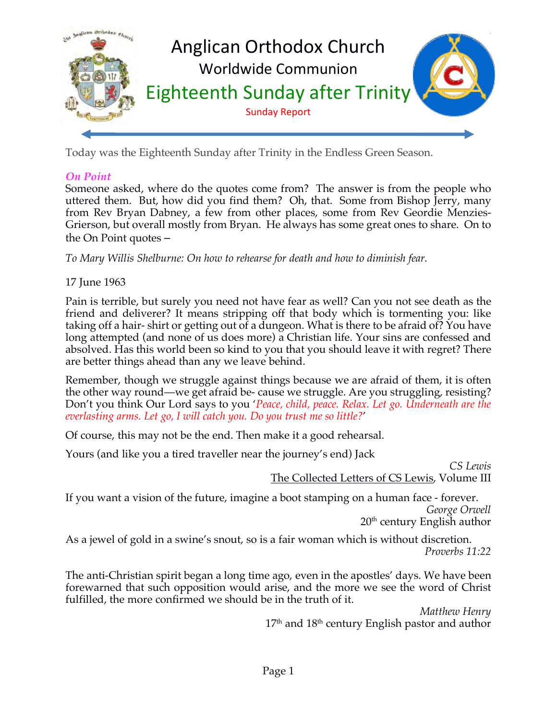

Today was the Eighteenth Sunday after Trinity in the Endless Green Season.

# *On Point*

Someone asked, where do the quotes come from? The answer is from the people who uttered them. But, how did you find them? Oh, that. Some from Bishop Jerry, many from Rev Bryan Dabney, a few from other places, some from Rev Geordie Menzies-Grierson, but overall mostly from Bryan. He always has some great ones to share. On to the On Point quotes –

*To Mary Willis Shelburne: On how to rehearse for death and how to diminish fear.*

17 June 1963

Pain is terrible, but surely you need not have fear as well? Can you not see death as the friend and deliverer? It means stripping off that body which is tormenting you: like taking off a hair- shirt or getting out of a dungeon. What is there to be afraid of? You have long attempted (and none of us does more) a Christian life. Your sins are confessed and absolved. Has this world been so kind to you that you should leave it with regret? There are better things ahead than any we leave behind.

Remember, though we struggle against things because we are afraid of them, it is often the other way round—we get afraid be- cause we struggle. Are you struggling, resisting? Don't you think Our Lord says to you '*Peace, child, peace. Relax. Let go. Underneath are the everlasting arms. Let go, I will catch you. Do you trust me so little?*'

Of course, this may not be the end. Then make it a good rehearsal.

Yours (and like you a tired traveller near the journey's end) Jack

*CS Lewis* The Collected Letters of CS Lewis, Volume III

If you want a vision of the future, imagine a boot stamping on a human face - forever. *George Orwell*

 $20<sup>th</sup>$  century English author

As a jewel of gold in a swine's snout, so is a fair woman which is without discretion. *Proverbs 11:22*

The anti-Christian spirit began a long time ago, even in the apostles' days. We have been forewarned that such opposition would arise, and the more we see the word of Christ fulfilled, the more confirmed we should be in the truth of it.

> *Matthew Henry*  $17<sup>th</sup>$  and  $18<sup>th</sup>$  century English pastor and author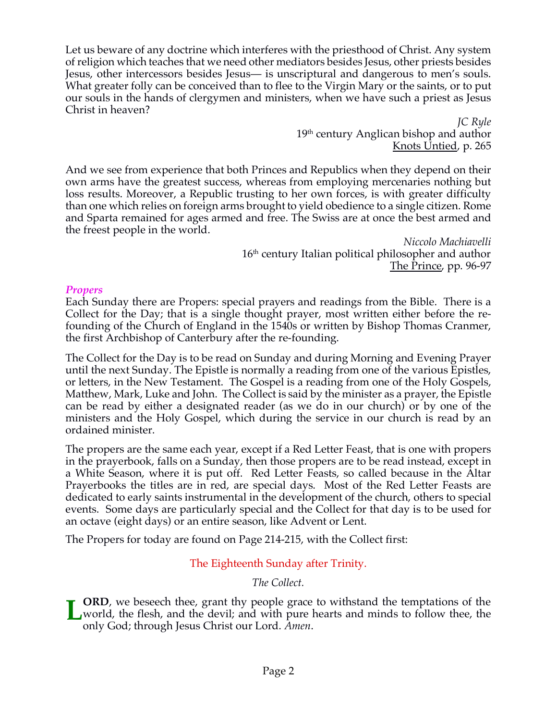Let us beware of any doctrine which interferes with the priesthood of Christ. Any system of religion which teaches that we need other mediators besides Jesus, other priests besides Jesus, other intercessors besides Jesus— is unscriptural and dangerous to men's souls. What greater folly can be conceived than to flee to the Virgin Mary or the saints, or to put our souls in the hands of clergymen and ministers, when we have such a priest as Jesus Christ in heaven?

> *JC Ryle* 19<sup>th</sup> century Anglican bishop and author Knots Untied, p. 265

And we see from experience that both Princes and Republics when they depend on their own arms have the greatest success, whereas from employing mercenaries nothing but loss results. Moreover, a Republic trusting to her own forces, is with greater difficulty than one which relies on foreign arms brought to yield obedience to a single citizen. Rome and Sparta remained for ages armed and free. The Swiss are at once the best armed and the freest people in the world.

> *Niccolo Machiavelli* 16<sup>th</sup> century Italian political philosopher and author The Prince, pp. 96-97

#### *Propers*

Each Sunday there are Propers: special prayers and readings from the Bible. There is a Collect for the Day; that is a single thought prayer, most written either before the refounding of the Church of England in the 1540s or written by Bishop Thomas Cranmer, the first Archbishop of Canterbury after the re-founding.

The Collect for the Day is to be read on Sunday and during Morning and Evening Prayer until the next Sunday. The Epistle is normally a reading from one of the various Epistles, or letters, in the New Testament. The Gospel is a reading from one of the Holy Gospels, Matthew, Mark, Luke and John. The Collect is said by the minister as a prayer, the Epistle can be read by either a designated reader (as we do in our church) or by one of the ministers and the Holy Gospel, which during the service in our church is read by an ordained minister.

The propers are the same each year, except if a Red Letter Feast, that is one with propers in the prayerbook, falls on a Sunday, then those propers are to be read instead, except in a White Season, where it is put off. Red Letter Feasts, so called because in the Altar Prayerbooks the titles are in red, are special days. Most of the Red Letter Feasts are dedicated to early saints instrumental in the development of the church, others to special events. Some days are particularly special and the Collect for that day is to be used for an octave (eight days) or an entire season, like Advent or Lent.

The Propers for today are found on Page 214-215, with the Collect first:

# The Eighteenth Sunday after Trinity.

### *The Collect.*

**ORD**, we beseech thee, grant thy people grace to withstand the temptations of the world, the flesh, and the devil; and with pure hearts and minds to follow thee, the **LORD**, we beseech thee, grant thy people grace world, the flesh, and the devil; and with pure looply God; through Jesus Christ our Lord. *Amen*.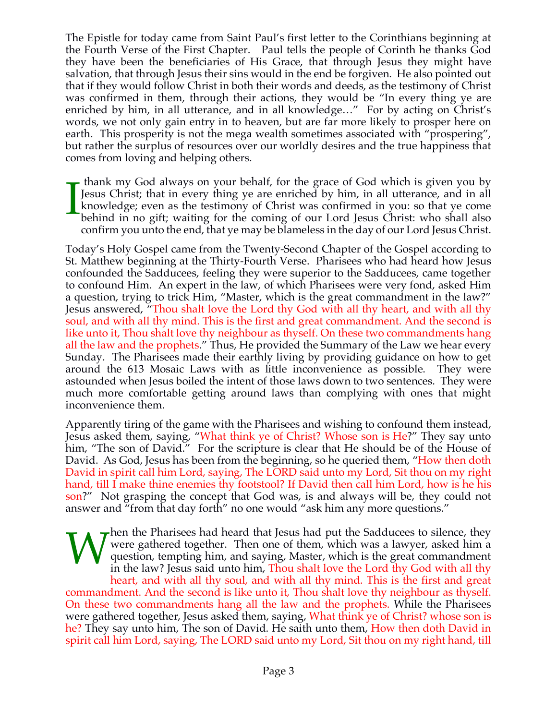The Epistle for today came from Saint Paul's first letter to the Corinthians beginning at the Fourth Verse of the First Chapter. Paul tells the people of Corinth he thanks God they have been the beneficiaries of His Grace, that through Jesus they might have salvation, that through Jesus their sins would in the end be forgiven. He also pointed out that if they would follow Christ in both their words and deeds, as the testimony of Christ was confirmed in them, through their actions, they would be "In every thing ye are enriched by him, in all utterance, and in all knowledge..." For by acting on Christ's words, we not only gain entry in to heaven, but are far more likely to prosper here on earth. This prosperity is not the mega wealth sometimes associated with "prospering", but rather the surplus of resources over our worldly desires and the true happiness that comes from loving and helping others.

thank my God always on your behalf, for the grace of God which is given you by Jesus Christ; that in every thing ye are enriched by him, in all utterance, and in all knowledge; even as the testimony of Christ was confirmed in you: so that ye come behind in no gift; waiting for the coming of our Lord Jesus Christ: who shall also confirm you unto the end, that ye may be blameless in the day of our Lord Jesus Christ. I

Today's Holy Gospel came from the Twenty-Second Chapter of the Gospel according to St. Matthew beginning at the Thirty-Fourth Verse. Pharisees who had heard how Jesus confounded the Sadducees, feeling they were superior to the Sadducees, came together to confound Him. An expert in the law, of which Pharisees were very fond, asked Him a question, trying to trick Him, "Master, which is the great commandment in the law?" Jesus answered, "Thou shalt love the Lord thy God with all thy heart, and with all thy soul, and with all thy mind. This is the first and great commandment. And the second is like unto it, Thou shalt love thy neighbour as thyself. On these two commandments hang all the law and the prophets." Thus, He provided the Summary of the Law we hear every Sunday. The Pharisees made their earthly living by providing guidance on how to get around the 613 Mosaic Laws with as little inconvenience as possible. They were astounded when Jesus boiled the intent of those laws down to two sentences. They were much more comfortable getting around laws than complying with ones that might inconvenience them.

Apparently tiring of the game with the Pharisees and wishing to confound them instead, Jesus asked them, saying, "What think ye of Christ? Whose son is He?" They say unto him, "The son of David." For the scripture is clear that He should be of the House of David. As God, Jesus has been from the beginning, so he queried them, "How then doth David in spirit call him Lord, saying, The LORD said unto my Lord, Sit thou on my right hand, till I make thine enemies thy footstool? If David then call him Lord, how is he his son?" Not grasping the concept that God was, is and always will be, they could not answer and "from that day forth" no one would "ask him any more questions."

hen the Pharisees had heard that Jesus had put the Sadducees to silence, they were gathered together. Then one of them, which was a lawyer, asked him a question, tempting him, and saying, Master, which is the great commandment in the law? Jesus said unto him, Thou shalt love the Lord thy God with all thy heart, and with all thy soul, and with all thy mind. This is the first and great commandment. And the second is like unto it, Thou shalt love thy neighbour as thyself. On these two commandments hang all the law and the prophets. While the Pharisees were gathered together, Jesus asked them, saying, What think ye of Christ? whose son is he? They say unto him, The son of David. He saith unto them, How then doth David in spirit call him Lord, saying, The LORD said unto my Lord, Sit thou on my right hand, till **W**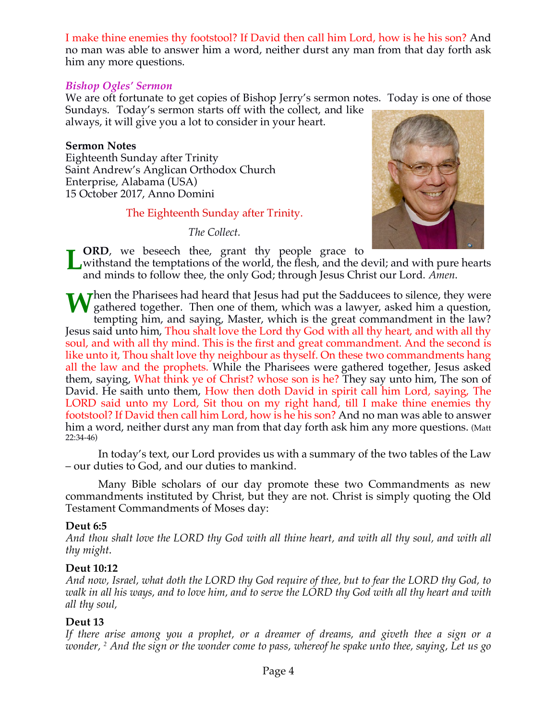I make thine enemies thy footstool? If David then call him Lord, how is he his son? And no man was able to answer him a word, neither durst any man from that day forth ask him any more questions.

#### *Bishop Ogles' Sermon*

We are oft fortunate to get copies of Bishop Jerry's sermon notes. Today is one of those Sundays. Today's sermon starts off with the collect, and like

always, it will give you a lot to consider in your heart.

#### **Sermon Notes**

Eighteenth Sunday after Trinity Saint Andrew's Anglican Orthodox Church Enterprise, Alabama (USA) 15 October 2017, Anno Domini

The Eighteenth Sunday after Trinity.

*The Collect.*



**ORD**, we beseech thee, grant thy people grace to

**LORD**, we beseech thee, grant thy people grace to<br>withstand the temptations of the world, the flesh, and the devil; and with pure hearts<br>and minds to follow thee the only God: through Jesus Christ our Lord *Amen* and minds to follow thee, the only God; through Jesus Christ our Lord. *Amen*.

When the Pharisees had heard that Jesus had put the Sadducees to silence, they were<br>gathered together. Then one of them, which was a lawyer, asked him a question,<br>tompting him and saying Master which is the great commandme gathered together. Then one of them, which was a lawyer, asked him a question, tempting him, and saying, Master, which is the great commandment in the law? Jesus said unto him, Thou shalt love the Lord thy God with all thy heart, and with all thy soul, and with all thy mind. This is the first and great commandment. And the second is like unto it, Thou shalt love thy neighbour as thyself. On these two commandments hang all the law and the prophets. While the Pharisees were gathered together, Jesus asked them, saying, What think ye of Christ? whose son is he? They say unto him, The son of David. He saith unto them, How then doth David in spirit call him Lord, saying, The LORD said unto my Lord, Sit thou on my right hand, till I make thine enemies thy footstool? If David then call him Lord, how is he his son? And no man was able to answer him a word, neither durst any man from that day forth ask him any more questions. (Matt 22:34-46)

In today's text, our Lord provides us with a summary of the two tables of the Law – our duties to God, and our duties to mankind.

Many Bible scholars of our day promote these two Commandments as new commandments instituted by Christ, but they are not. Christ is simply quoting the Old Testament Commandments of Moses day:

#### **Deut 6:5**

*And thou shalt love the LORD thy God with all thine heart, and with all thy soul, and with all thy might*.

#### **Deut 10:12**

*And now, Israel, what doth the LORD thy God require of thee, but to fear the LORD thy God, to walk in all his ways, and to love him, and to serve the LORD thy God with all thy heart and with all thy soul,*

### **Deut 13**

*If there arise among you a prophet, or a dreamer of dreams, and giveth thee a sign or a wonder, <sup>2</sup> And the sign or the wonder come to pass, whereof he spake unto thee, saying, Let us go*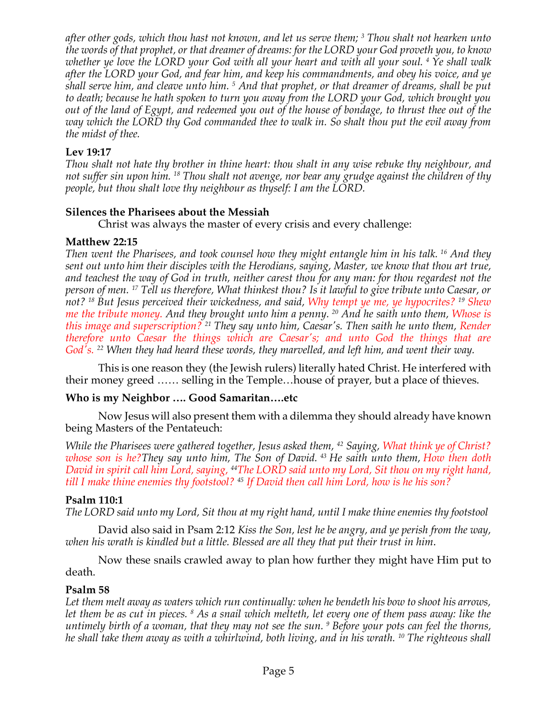*after other gods, which thou hast not known, and let us serve them; <sup>3</sup> Thou shalt not hearken unto the words of that prophet, or that dreamer of dreams: for the LORD your God proveth you, to know whether ye love the LORD your God with all your heart and with all your soul. <sup>4</sup> Ye shall walk after the LORD your God, and fear him, and keep his commandments, and obey his voice, and ye shall serve him, and cleave unto him. <sup>5</sup> And that prophet, or that dreamer of dreams, shall be put to death; because he hath spoken to turn you away from the LORD your God, which brought you out of the land of Egypt, and redeemed you out of the house of bondage, to thrust thee out of the way which the LORD thy God commanded thee to walk in. So shalt thou put the evil away from the midst of thee.*

#### **Lev 19:17**

*Thou shalt not hate thy brother in thine heart: thou shalt in any wise rebuke thy neighbour, and not suffer sin upon him. <sup>18</sup> Thou shalt not avenge, nor bear any grudge against the children of thy people, but thou shalt love thy neighbour as thyself: I am the LORD.*

#### **Silences the Pharisees about the Messiah**

Christ was always the master of every crisis and every challenge:

#### **Matthew 22:15**

*Then went the Pharisees, and took counsel how they might entangle him in his talk. <sup>16</sup> And they sent out unto him their disciples with the Herodians, saying, Master, we know that thou art true, and teachest the way of God in truth, neither carest thou for any man: for thou regardest not the person of men. <sup>17</sup> Tell us therefore, What thinkest thou? Is it lawful to give tribute unto Caesar, or not? <sup>18</sup> But Jesus perceived their wickedness, and said, Why tempt ye me, ye hypocrites? <sup>19</sup> Shew me the tribute money. And they brought unto him a penny. <sup>20</sup> And he saith unto them, Whose is this image and superscription? <sup>21</sup> They say unto him, Caesar's. Then saith he unto them, Render therefore unto Caesar the things which are Caesar's; and unto God the things that are God's. <sup>22</sup> When they had heard these words, they marvelled, and left him, and went their way.*

This is one reason they (the Jewish rulers) literally hated Christ. He interfered with their money greed …… selling in the Temple…house of prayer, but a place of thieves.

### **Who is my Neighbor …. Good Samaritan….etc**

Now Jesus will also present them with a dilemma they should already have known being Masters of the Pentateuch:

*While the Pharisees were gathered together, Jesus asked them, <sup>42</sup> Saying, What think ye of Christ? whose son is he?They say unto him, The Son of David. <sup>43</sup> He saith unto them, How then doth David in spirit call him Lord, saying, 44The LORD said unto my Lord, Sit thou on my right hand, till I make thine enemies thy footstool? <sup>45</sup> If David then call him Lord, how is he his son?*

#### **Psalm 110:1**

*The LORD said unto my Lord, Sit thou at my right hand, until I make thine enemies thy footstool*

David also said in Psam 2:12 *Kiss the Son, lest he be angry, and ye perish from the way, when his wrath is kindled but a little. Blessed are all they that put their trust in him*.

Now these snails crawled away to plan how further they might have Him put to death.

#### **Psalm 58**

Let them melt away as waters which run continually: when he bendeth his bow to shoot his arrows, *let them be as cut in pieces. <sup>8</sup> As a snail which melteth, let every one of them pass away: like the untimely birth of a woman, that they may not see the sun. <sup>9</sup> Before your pots can feel the thorns, he shall take them away as with a whirlwind, both living, and in his wrath. <sup>10</sup> The righteous shall*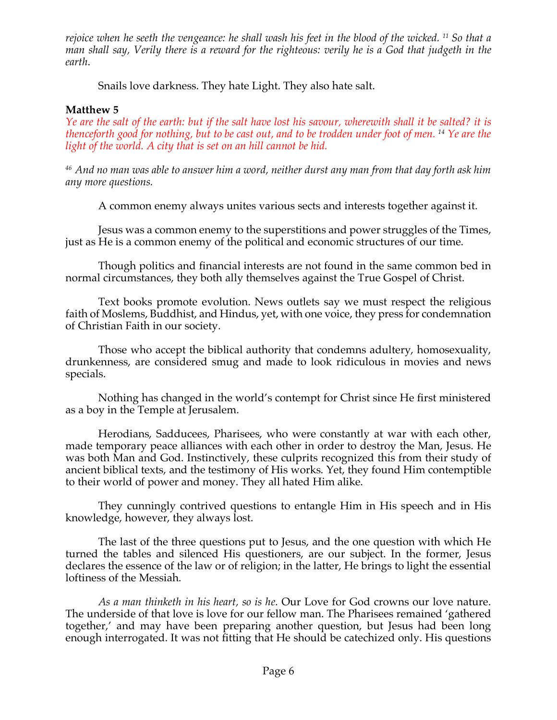*rejoice when he seeth the vengeance: he shall wash his feet in the blood of the wicked. <sup>11</sup> So that a man shall say, Verily there is a reward for the righteous: verily he is a God that judgeth in the earth*.

Snails love darkness. They hate Light. They also hate salt.

### **Matthew 5**

*Ye are the salt of the earth: but if the salt have lost his savour, wherewith shall it be salted? it is thenceforth good for nothing, but to be cast out, and to be trodden under foot of men. <sup>14</sup> Ye are the light of the world. A city that is set on an hill cannot be hid.*

*<sup>46</sup> And no man was able to answer him a word, neither durst any man from that day forth ask him any more questions.*

A common enemy always unites various sects and interests together against it.

Jesus was a common enemy to the superstitions and power struggles of the Times, just as He is a common enemy of the political and economic structures of our time.

Though politics and financial interests are not found in the same common bed in normal circumstances, they both ally themselves against the True Gospel of Christ.

Text books promote evolution. News outlets say we must respect the religious faith of Moslems, Buddhist, and Hindus, yet, with one voice, they press for condemnation of Christian Faith in our society.

Those who accept the biblical authority that condemns adultery, homosexuality, drunkenness, are considered smug and made to look ridiculous in movies and news specials.

Nothing has changed in the world's contempt for Christ since He first ministered as a boy in the Temple at Jerusalem.

Herodians, Sadducees, Pharisees, who were constantly at war with each other, made temporary peace alliances with each other in order to destroy the Man, Jesus. He was both Man and God. Instinctively, these culprits recognized this from their study of ancient biblical texts, and the testimony of His works. Yet, they found Him contemptible to their world of power and money. They all hated Him alike.

They cunningly contrived questions to entangle Him in His speech and in His knowledge, however, they always lost.

The last of the three questions put to Jesus, and the one question with which He turned the tables and silenced His questioners, are our subject. In the former, Jesus declares the essence of the law or of religion; in the latter, He brings to light the essential loftiness of the Messiah.

*As a man thinketh in his heart, so is he*. Our Love for God crowns our love nature. The underside of that love is love for our fellow man. The Pharisees remained 'gathered together,' and may have been preparing another question, but Jesus had been long enough interrogated. It was not fitting that He should be catechized only. His questions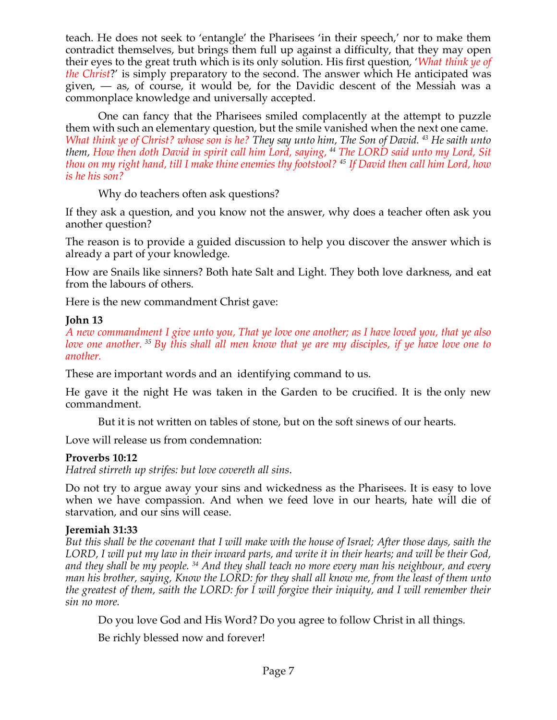teach. He does not seek to 'entangle' the Pharisees 'in their speech,' nor to make them contradict themselves, but brings them full up against a difficulty, that they may open their eyes to the great truth which is its only solution. His first question, '*What think ye of the Christ*?' is simply preparatory to the second. The answer which He anticipated was given,  $-$  as, of course, it would be, for the Davidic descent of the Messiah was a commonplace knowledge and universally accepted.

One can fancy that the Pharisees smiled complacently at the attempt to puzzle them with such an elementary question, but the smile vanished when the next one came. *What think ye of Christ? whose son is he? They say unto him, The Son of David. <sup>43</sup> He saith unto them, How then doth David in spirit call him Lord, saying, <sup>44</sup> The LORD said unto my Lord, Sit thou on my right hand, till I make thine enemies thy footstool? <sup>45</sup> If David then call him Lord, how is he his son?*

Why do teachers often ask questions?

If they ask a question, and you know not the answer, why does a teacher often ask you another question?

The reason is to provide a guided discussion to help you discover the answer which is already a part of your knowledge.

How are Snails like sinners? Both hate Salt and Light. They both love darkness, and eat from the labours of others.

Here is the new commandment Christ gave:

# **John 13**

*A new commandment I give unto you, That ye love one another; as I have loved you, that ye also love one another. <sup>35</sup> By this shall all men know that ye are my disciples, if ye have love one to another.*

These are important words and an identifying command to us.

He gave it the night He was taken in the Garden to be crucified. It is the only new commandment.

But it is not written on tables of stone, but on the soft sinews of our hearts.

Love will release us from condemnation:

# **Proverbs 10:12**

*Hatred stirreth up strifes: but love covereth all sins*.

Do not try to argue away your sins and wickedness as the Pharisees. It is easy to love when we have compassion. And when we feed love in our hearts, hate will die of starvation, and our sins will cease.

# **Jeremiah 31:33**

*But this shall be the covenant that I will make with the house of Israel; After those days, saith the LORD, I will put my law in their inward parts, and write it in their hearts; and will be their God, and they shall be my people. <sup>34</sup> And they shall teach no more every man his neighbour, and every man his brother, saying, Know the LORD: for they shall all know me, from the least of them unto the greatest of them, saith the LORD: for I will forgive their iniquity, and I will remember their sin no more.*

Do you love God and His Word? Do you agree to follow Christ in all things.

Be richly blessed now and forever!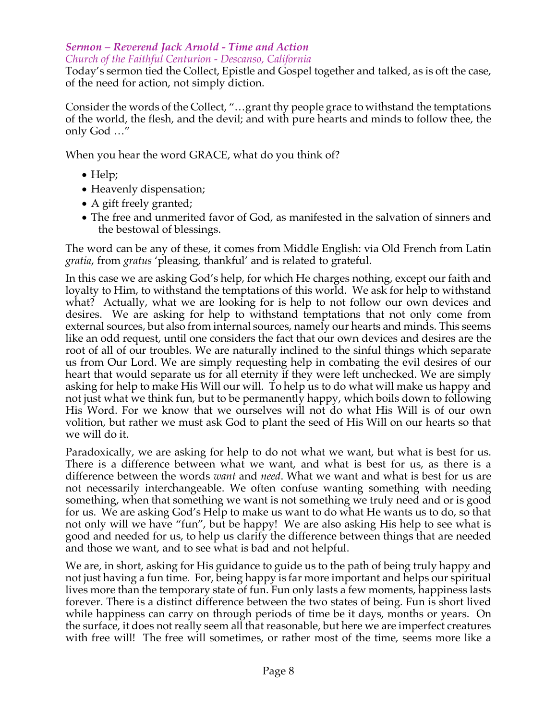#### *Sermon – Reverend Jack Arnold - Time and Action Church of the Faithful Centurion - Descanso, California*

Today's sermon tied the Collect, Epistle and Gospel together and talked, as is oft the case, of the need for action, not simply diction.

Consider the words of the Collect, "…grant thy people grace to withstand the temptations of the world, the flesh, and the devil; and with pure hearts and minds to follow thee, the only God …"

When you hear the word GRACE, what do you think of?

- Help;
- Heavenly dispensation;
- A gift freely granted;
- The free and unmerited favor of God, as manifested in the salvation of sinners and the bestowal of blessings.

The word can be any of these, it comes from Middle English: via Old French from Latin *gratia*, from *gratus* 'pleasing, thankful' and is related to grateful.

In this case we are asking God's help, for which He charges nothing, except our faith and loyalty to Him, to withstand the temptations of this world. We ask for help to withstand what? Actually, what we are looking for is help to not follow our own devices and desires. We are asking for help to withstand temptations that not only come from external sources, but also from internal sources, namely our hearts and minds. This seems like an odd request, until one considers the fact that our own devices and desires are the root of all of our troubles. We are naturally inclined to the sinful things which separate us from Our Lord. We are simply requesting help in combating the evil desires of our heart that would separate us for all eternity if they were left unchecked. We are simply asking for help to make His Will our will. To help us to do what will make us happy and not just what we think fun, but to be permanently happy, which boils down to following His Word. For we know that we ourselves will not do what His Will is of our own volition, but rather we must ask God to plant the seed of His Will on our hearts so that we will do it.

Paradoxically, we are asking for help to do not what we want, but what is best for us. There is a difference between what we want, and what is best for us, as there is a difference between the words *want* and *need*. What we want and what is best for us are not necessarily interchangeable. We often confuse wanting something with needing something, when that something we want is not something we truly need and or is good for us. We are asking God's Help to make us want to do what He wants us to do, so that not only will we have "fun", but be happy! We are also asking His help to see what is good and needed for us, to help us clarify the difference between things that are needed and those we want, and to see what is bad and not helpful.

We are, in short, asking for His guidance to guide us to the path of being truly happy and not just having a fun time. For, being happy is far more important and helps our spiritual lives more than the temporary state of fun. Fun only lasts a few moments, happiness lasts forever. There is a distinct difference between the two states of being. Fun is short lived while happiness can carry on through periods of time be it days, months or years. On the surface, it does not really seem all that reasonable, but here we are imperfect creatures with free will! The free will sometimes, or rather most of the time, seems more like a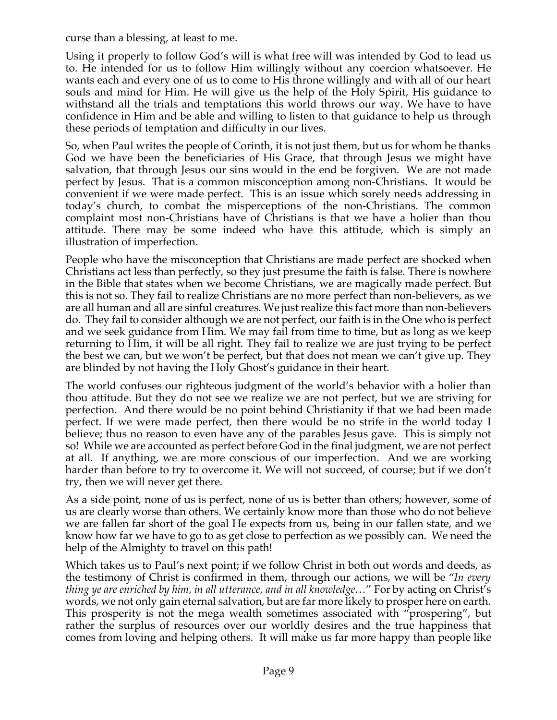curse than a blessing, at least to me.

Using it properly to follow God's will is what free will was intended by God to lead us to. He intended for us to follow Him willingly without any coercion whatsoever. He wants each and every one of us to come to His throne willingly and with all of our heart souls and mind for Him. He will give us the help of the Holy Spirit, His guidance to withstand all the trials and temptations this world throws our way. We have to have confidence in Him and be able and willing to listen to that guidance to help us through these periods of temptation and difficulty in our lives.

So, when Paul writes the people of Corinth, it is not just them, but us for whom he thanks God we have been the beneficiaries of His Grace, that through Jesus we might have salvation, that through Jesus our sins would in the end be forgiven. We are not made perfect by Jesus. That is a common misconception among non-Christians. It would be convenient if we were made perfect. This is an issue which sorely needs addressing in today's church, to combat the misperceptions of the non-Christians. The common complaint most non-Christians have of Christians is that we have a holier than thou attitude. There may be some indeed who have this attitude, which is simply an illustration of imperfection.

People who have the misconception that Christians are made perfect are shocked when Christians act less than perfectly, so they just presume the faith is false. There is nowhere in the Bible that states when we become Christians, we are magically made perfect. But this is not so. They fail to realize Christians are no more perfect than non-believers, as we are all human and all are sinful creatures. We just realize this fact more than non-believers do. They fail to consider although we are not perfect, our faith is in the One who is perfect and we seek guidance from Him. We may fail from time to time, but as long as we keep returning to Him, it will be all right. They fail to realize we are just trying to be perfect the best we can, but we won't be perfect, but that does not mean we can't give up. They are blinded by not having the Holy Ghost's guidance in their heart.

The world confuses our righteous judgment of the world's behavior with a holier than thou attitude. But they do not see we realize we are not perfect, but we are striving for perfection. And there would be no point behind Christianity if that we had been made perfect. If we were made perfect, then there would be no strife in the world today I believe; thus no reason to even have any of the parables Jesus gave. This is simply not so! While we are accounted as perfect before God in the final judgment, we are not perfect at all. If anything, we are more conscious of our imperfection. And we are working harder than before to try to overcome it. We will not succeed, of course; but if we don't try, then we will never get there.

As a side point, none of us is perfect, none of us is better than others; however, some of us are clearly worse than others. We certainly know more than those who do not believe we are fallen far short of the goal He expects from us, being in our fallen state, and we know how far we have to go to as get close to perfection as we possibly can. We need the help of the Almighty to travel on this path!

Which takes us to Paul's next point; if we follow Christ in both out words and deeds, as the testimony of Christ is confirmed in them, through our actions, we will be "*In every thing ye are enriched by him, in all utterance, and in all knowledge…*" For by acting on Christ's words, we not only gain eternal salvation, but are far more likely to prosper here on earth. This prosperity is not the mega wealth sometimes associated with "prospering", but rather the surplus of resources over our worldly desires and the true happiness that comes from loving and helping others. It will make us far more happy than people like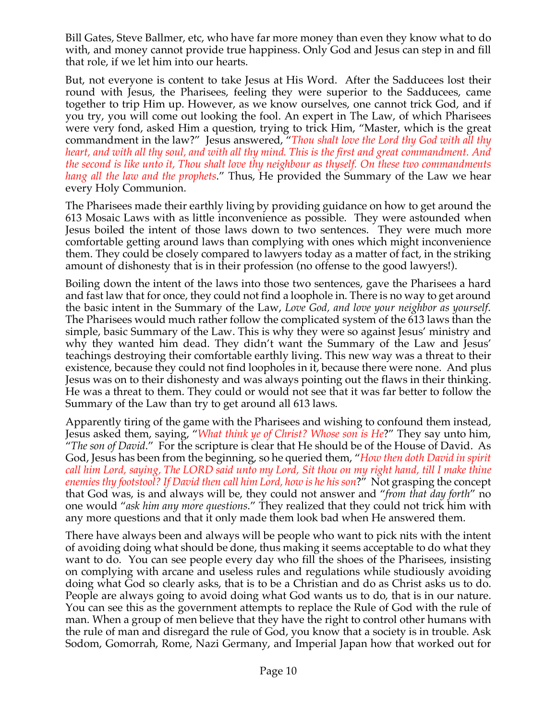Bill Gates, Steve Ballmer, etc, who have far more money than even they know what to do with, and money cannot provide true happiness. Only God and Jesus can step in and fill that role, if we let him into our hearts.

But, not everyone is content to take Jesus at His Word. After the Sadducees lost their round with Jesus, the Pharisees, feeling they were superior to the Sadducees, came together to trip Him up. However, as we know ourselves, one cannot trick God, and if you try, you will come out looking the fool. An expert in The Law, of which Pharisees were very fond, asked Him a question, trying to trick Him, "Master, which is the great commandment in the law?" Jesus answered, "*Thou shalt love the Lord thy God with all thy heart, and with all thy soul, and with all thy mind. This is the first and great commandment. And the second is like unto it, Thou shalt love thy neighbour as thyself. On these two commandments hang all the law and the prophets*." Thus, He provided the Summary of the Law we hear every Holy Communion.

The Pharisees made their earthly living by providing guidance on how to get around the 613 Mosaic Laws with as little inconvenience as possible. They were astounded when Jesus boiled the intent of those laws down to two sentences. They were much more comfortable getting around laws than complying with ones which might inconvenience them. They could be closely compared to lawyers today as a matter of fact, in the striking amount of dishonesty that is in their profession (no offense to the good lawyers!).

Boiling down the intent of the laws into those two sentences, gave the Pharisees a hard and fast law that for once, they could not find a loophole in. There is no way to get around the basic intent in the Summary of the Law, *Love God, and love your neighbor as yourself*. The Pharisees would much rather follow the complicated system of the 613 laws than the simple, basic Summary of the Law. This is why they were so against Jesus' ministry and why they wanted him dead. They didn't want the Summary of the Law and Jesus' teachings destroying their comfortable earthly living. This new way was a threat to their existence, because they could not find loopholes in it, because there were none. And plus Jesus was on to their dishonesty and was always pointing out the flaws in their thinking. He was a threat to them. They could or would not see that it was far better to follow the Summary of the Law than try to get around all 613 laws.

Apparently tiring of the game with the Pharisees and wishing to confound them instead, Jesus asked them, saying, "*What think ye of Christ? Whose son is He*?" They say unto him, "*The son of David*." For the scripture is clear that He should be of the House of David. As God, Jesus has been from the beginning, so he queried them, "*How then doth David in spirit call him Lord, saying, The LORD said unto my Lord, Sit thou on my right hand, till I make thine enemies thy footstool? If David then call him Lord, how is he his son*?" Not grasping the concept that God was, is and always will be, they could not answer and "*from that day forth*" no one would "*ask him any more questions*." They realized that they could not trick him with any more questions and that it only made them look bad when He answered them.

There have always been and always will be people who want to pick nits with the intent of avoiding doing what should be done, thus making it seems acceptable to do what they want to do. You can see people every day who fill the shoes of the Pharisees, insisting on complying with arcane and useless rules and regulations while studiously avoiding doing what God so clearly asks, that is to be a Christian and do as Christ asks us to do. People are always going to avoid doing what God wants us to do, that is in our nature. You can see this as the government attempts to replace the Rule of God with the rule of man. When a group of men believe that they have the right to control other humans with the rule of man and disregard the rule of God, you know that a society is in trouble. Ask Sodom, Gomorrah, Rome, Nazi Germany, and Imperial Japan how that worked out for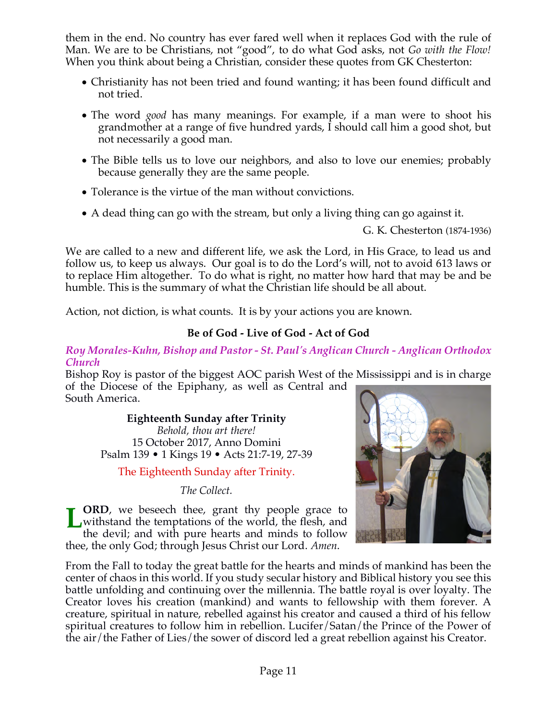them in the end. No country has ever fared well when it replaces God with the rule of Man. We are to be Christians, not "good", to do what God asks, not *Go with the Flow!* When you think about being a Christian, consider these quotes from GK Chesterton:

- Christianity has not been tried and found wanting; it has been found difficult and not tried.
- The word *good* has many meanings. For example, if a man were to shoot his grandmother at a range of five hundred yards, I should call him a good shot, but not necessarily a good man.
- The Bible tells us to love our neighbors, and also to love our enemies; probably because generally they are the same people.
- Tolerance is the virtue of the man without convictions.
- A dead thing can go with the stream, but only a living thing can go against it.

G. K. Chesterton (1874-1936)

We are called to a new and different life, we ask the Lord, in His Grace, to lead us and follow us, to keep us always. Our goal is to do the Lord's will, not to avoid 613 laws or to replace Him altogether. To do what is right, no matter how hard that may be and be humble. This is the summary of what the Christian life should be all about.

Action, not diction, is what counts. It is by your actions you are known.

# **Be of God - Live of God - Act of God**

#### *Roy Morales-Kuhn, Bishop and Pastor - St. Paul's Anglican Church - Anglican Orthodox Church*

Bishop Roy is pastor of the biggest AOC parish West of the Mississippi and is in charge of the Diocese of the Epiphany, as well as Central and South America.

**Eighteenth Sunday after Trinity** *Behold, thou art there!* 15 October 2017, Anno Domini Psalm 139 • 1 Kings 19 • Acts 21:7-19, 27-39

The Eighteenth Sunday after Trinity.

*The Collect.*

**ORD**, we beseech thee, grant thy people grace to **LORD**, we beseech thee, grant thy people grace to<br>withstand the temptations of the world, the flesh, and<br>the devil: and with pure bearts and minds to follow the devil; and with pure hearts and minds to follow thee, the only God; through Jesus Christ our Lord. *Amen*.



From the Fall to today the great battle for the hearts and minds of mankind has been the center of chaos in this world. If you study secular history and Biblical history you see this battle unfolding and continuing over the millennia. The battle royal is over loyalty. The Creator loves his creation (mankind) and wants to fellowship with them forever. A creature, spiritual in nature, rebelled against his creator and caused a third of his fellow spiritual creatures to follow him in rebellion. Lucifer/Satan/the Prince of the Power of the air/the Father of Lies/the sower of discord led a great rebellion against his Creator.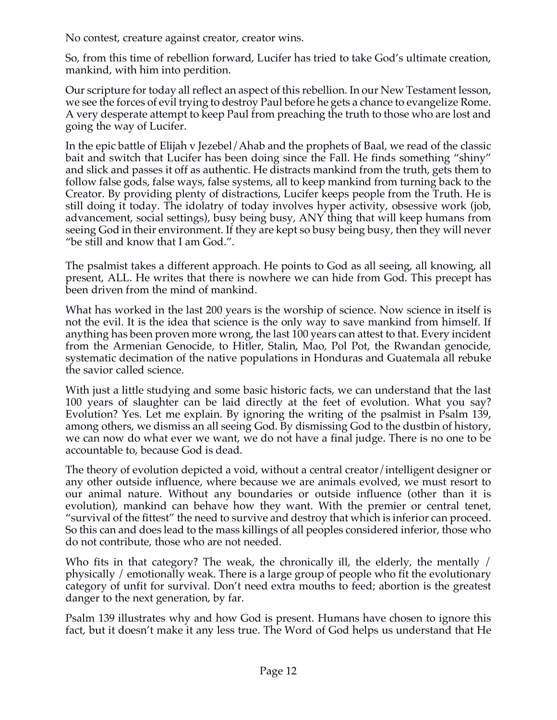No contest, creature against creator, creator wins.

So, from this time of rebellion forward, Lucifer has tried to take God's ultimate creation, mankind, with him into perdition.

Our scripture for today all reflect an aspect of this rebellion. In our New Testament lesson, we see the forces of evil trying to destroy Paul before he gets a chance to evangelize Rome. A very desperate attempt to keep Paul from preaching the truth to those who are lost and going the way of Lucifer.

In the epic battle of Elijah v Jezebel/Ahab and the prophets of Baal, we read of the classic bait and switch that Lucifer has been doing since the Fall. He finds something "shiny" and slick and passes it off as authentic. He distracts mankind from the truth, gets them to follow false gods, false ways, false systems, all to keep mankind from turning back to the Creator. By providing plenty of distractions, Lucifer keeps people from the Truth. He is still doing it today. The idolatry of today involves hyper activity, obsessive work (job, advancement, social settings), busy being busy, ANY thing that will keep humans from seeing God in their environment. If they are kept so busy being busy, then they will never "be still and know that I am God.".

The psalmist takes a different approach. He points to God as all seeing, all knowing, all present, ALL. He writes that there is nowhere we can hide from God. This precept has been driven from the mind of mankind.

What has worked in the last 200 years is the worship of science. Now science in itself is not the evil. It is the idea that science is the only way to save mankind from himself. If anything has been proven more wrong, the last 100 years can attest to that. Every incident from the Armenian Genocide, to Hitler, Stalin, Mao, Pol Pot, the Rwandan genocide, systematic decimation of the native populations in Honduras and Guatemala all rebuke the savior called science.

With just a little studying and some basic historic facts, we can understand that the last 100 years of slaughter can be laid directly at the feet of evolution. What you say? Evolution? Yes. Let me explain. By ignoring the writing of the psalmist in Psalm 139, among others, we dismiss an all seeing God. By dismissing God to the dustbin of history, we can now do what ever we want, we do not have a final judge. There is no one to be accountable to, because God is dead.

The theory of evolution depicted a void, without a central creator/intelligent designer or any other outside influence, where because we are animals evolved, we must resort to our animal nature. Without any boundaries or outside influence (other than it is evolution), mankind can behave how they want. With the premier or central tenet, "survival of the fittest" the need to survive and destroy that which is inferior can proceed. So this can and does lead to the mass killings of all peoples considered inferior, those who do not contribute, those who are not needed.

Who fits in that category? The weak, the chronically ill, the elderly, the mentally / physically / emotionally weak. There is a large group of people who fit the evolutionary category of unfit for survival. Don't need extra mouths to feed; abortion is the greatest danger to the next generation, by far.

Psalm 139 illustrates why and how God is present. Humans have chosen to ignore this fact, but it doesn't make it any less true. The Word of God helps us understand that He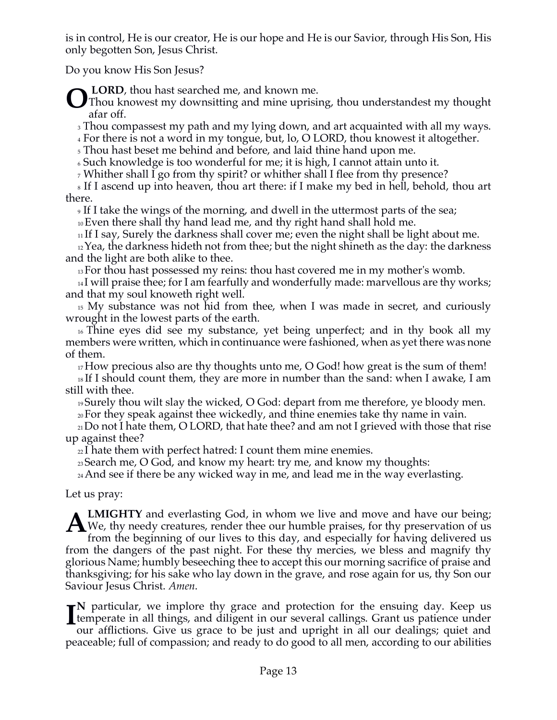is in control, He is our creator, He is our hope and He is our Savior, through His Son, His only begotten Son, Jesus Christ.

Do you know His Son Jesus?

**LORD**, thou hast searched me, and known me.

Thou knowest my downsitting and mine uprising, thou understandest my thought afar off. **O**

<sup>3</sup> Thou compassest my path and my lying down, and art acquainted with all my ways.

<sup>4</sup> For there is not a word in my tongue, but, lo, O LORD, thou knowest it altogether.

<sup>5</sup> Thou hast beset me behind and before, and laid thine hand upon me.

<sup>6</sup> Such knowledge is too wonderful for me; it is high, I cannot attain unto it.

<sup>7</sup> Whither shall I go from thy spirit? or whither shall I flee from thy presence?

<sup>8</sup> If I ascend up into heaven, thou art there: if I make my bed in hell, behold, thou art there.

<sup>9</sup> If I take the wings of the morning, and dwell in the uttermost parts of the sea;

10 Even there shall thy hand lead me, and thy right hand shall hold me.

11 If I say, Surely the darkness shall cover me; even the night shall be light about me.

<sup>12</sup> Yea, the darkness hideth not from thee; but the night shineth as the day: the darkness and the light are both alike to thee.

13 For thou hast possessed my reins: thou hast covered me in my mother's womb.

<sup>14</sup> I will praise thee; for I am fearfully and wonderfully made: marvellous are thy works; and that my soul knoweth right well.

<sup>15</sup> My substance was not hid from thee, when I was made in secret, and curiously wrought in the lowest parts of the earth.

16 Thine eyes did see my substance, yet being unperfect; and in thy book all my members were written, which in continuance were fashioned, when as yet there was none of them.

<sup>17</sup> How precious also are thy thoughts unto me, O God! how great is the sum of them!

18 If I should count them, they are more in number than the sand: when I awake, I am still with thee.

19 Surely thou wilt slay the wicked, O God: depart from me therefore, ye bloody men.

20 For they speak against thee wickedly, and thine enemies take thy name in vain.

21 Do not I hate them, O LORD, that hate thee? and am not I grieved with those that rise up against thee?

 $_{22}$ I hate them with perfect hatred: I count them mine enemies.

23 Search me, O God, and know my heart: try me, and know my thoughts:

24 And see if there be any wicked way in me, and lead me in the way everlasting.

Let us pray:

**LMIGHTY** and everlasting God, in whom we live and move and have our being; **ALMIGHTY** and everlasting God, in whom we live and move and have our being;<br>We, thy needy creatures, render thee our humble praises, for thy preservation of us<br>from the beginning of our lives to this day, and especially f from the beginning of our lives to this day, and especially for having delivered us from the dangers of the past night. For these thy mercies, we bless and magnify thy glorious Name; humbly beseeching thee to accept this our morning sacrifice of praise and thanksgiving; for his sake who lay down in the grave, and rose again for us, thy Son our Saviour Jesus Christ. *Amen*.

**N** particular, we implore thy grace and protection for the ensuing day. Keep us I'M particular, we implore thy grace and protection for the ensuing day. Keep us<br>temperate in all things, and diligent in our several callings. Grant us patience under<br>our afflictions. Give us grace to be just and upright our afflictions. Give us grace to be just and upright in all our dealings; quiet and peaceable; full of compassion; and ready to do good to all men, according to our abilities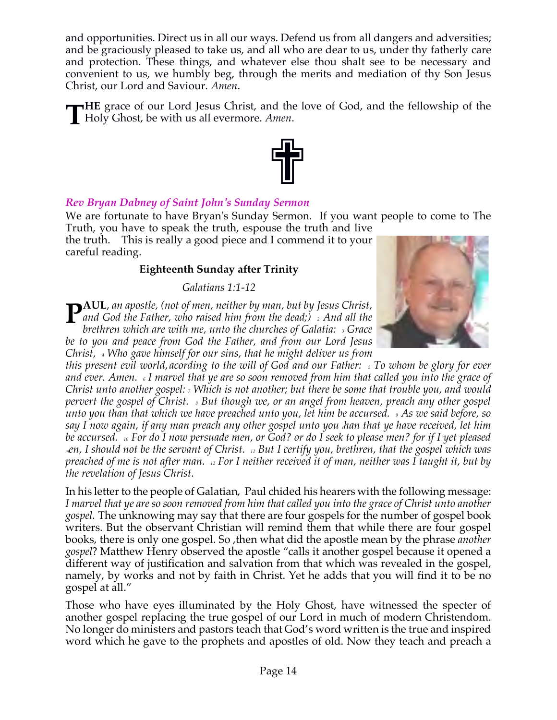and opportunities. Direct us in all our ways. Defend us from all dangers and adversities; and be graciously pleased to take us, and all who are dear to us, under thy fatherly care and protection. These things, and whatever else thou shalt see to be necessary and convenient to us, we humbly beg, through the merits and mediation of thy Son Jesus Christ, our Lord and Saviour. *Amen*.

**HE** grace of our Lord Jesus Christ, and the love of God, and the fellowship of the **THE** grace of our Lord Jesus Christ, and the Holy Ghost, be with us all evermore. Amen.



# *Rev Bryan Dabney of Saint John's Sunday Sermon*

We are fortunate to have Bryan's Sunday Sermon. If you want people to come to The Truth, you have to speak the truth, espouse the truth and live

the truth. This is really a good piece and I commend it to your careful reading.

#### **Eighteenth Sunday after Trinity**

*Galatians 1:1-12*

**PAUL**, an apostle, (not of men, neither by man, but by Jesus Christ,<br>and God the Father, who raised him from the dead;) > And all the<br>prethren which are with me, unto the churches of Galatia: > Grace *and God the Father, who raised him from the dead;) 2 And all the brethren which are with me, unto the churches of Galatia: 3 Grace be to you and peace from God the Father, and from our Lord Jesus Christ, 4 Who gave himself for our sins, that he might deliver us from* 



*this present evil world, acording to the will of God and our Father: 5 To whom be glory for ever and ever. Amen. 6 I marvel that ye are so soon removed from him that called you into the grace of Christ unto another gospel: 7 Which is not another; but there be some that trouble you, and would pervert the gospel of Christ. 8 But though we, or an angel from heaven, preach any other gospel unto you than that which we have preached unto you, let him be accursed. 9 As we said before, so say I now again, if any man preach any other gospel unto you than that ye have received, let him be accursed. 10 For do I now persuade men, or God? or do I seek to please men? for if I yet pleased men, I should not be the servant of Christ. 11 But I certify you, brethren, that the gospel which was preached of me is not after man. 12 For I neither received it of man, neither was I taught it, but by the revelation of Jesus Christ.*

In his letter to the people of Galatian, Paul chided his hearers with the following message: *I marvel that ye are so soon removed from him that called you into the grace of Christ unto another gospel.* The unknowing may say that there are four gospels for the number of gospel book writers. But the observant Christian will remind them that while there are four gospel books, there is only one gospel. So ,then what did the apostle mean by the phrase *another gospel*? Matthew Henry observed the apostle "calls it another gospel because it opened a different way of justification and salvation from that which was revealed in the gospel, namely, by works and not by faith in Christ. Yet he adds that you will find it to be no gospel at all."

Those who have eyes illuminated by the Holy Ghost, have witnessed the specter of another gospel replacing the true gospel of our Lord in much of modern Christendom. No longer do ministers and pastors teach that God's word written is the true and inspired word which he gave to the prophets and apostles of old. Now they teach and preach a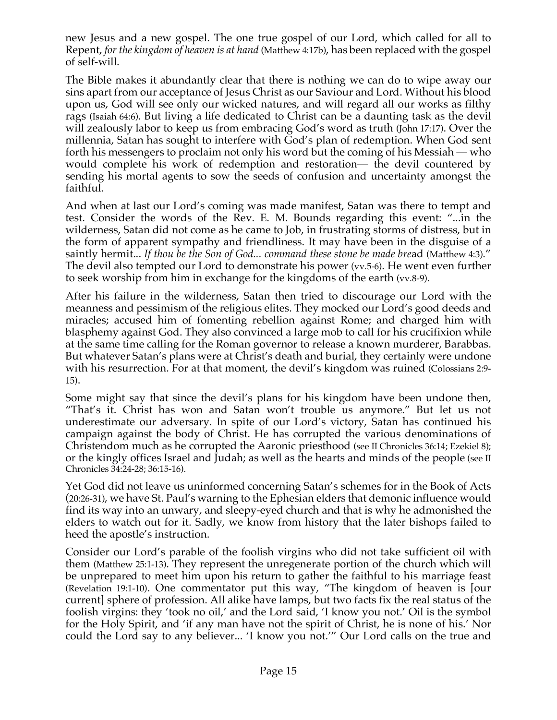new Jesus and a new gospel. The one true gospel of our Lord, which called for all to Repent, *for the kingdom of heaven is at hand* (Matthew 4:17b), has been replaced with the gospel of self-will.

The Bible makes it abundantly clear that there is nothing we can do to wipe away our sins apart from our acceptance of Jesus Christ as our Saviour and Lord. Without his blood upon us, God will see only our wicked natures, and will regard all our works as filthy rags (Isaiah 64:6). But living a life dedicated to Christ can be a daunting task as the devil will zealously labor to keep us from embracing God's word as truth (John 17:17). Over the millennia, Satan has sought to interfere with God's plan of redemption. When God sent forth his messengers to proclaim not only his word but the coming of his Messiah — who would complete his work of redemption and restoration— the devil countered by sending his mortal agents to sow the seeds of confusion and uncertainty amongst the faithful.

And when at last our Lord's coming was made manifest, Satan was there to tempt and test. Consider the words of the Rev. E. M. Bounds regarding this event: "...in the wilderness, Satan did not come as he came to Job, in frustrating storms of distress, but in the form of apparent sympathy and friendliness. It may have been in the disguise of a saintly hermit... *If thou be the Son of God... command these stone be made bre*ad (Matthew 4:3)." The devil also tempted our Lord to demonstrate his power (vv.5-6). He went even further to seek worship from him in exchange for the kingdoms of the earth (vv.8-9).

After his failure in the wilderness, Satan then tried to discourage our Lord with the meanness and pessimism of the religious elites. They mocked our Lord's good deeds and miracles; accused him of fomenting rebellion against Rome; and charged him with blasphemy against God. They also convinced a large mob to call for his crucifixion while at the same time calling for the Roman governor to release a known murderer, Barabbas. But whatever Satan's plans were at Christ's death and burial, they certainly were undone with his resurrection. For at that moment, the devil's kingdom was ruined (Colossians 2:9- 15).

Some might say that since the devil's plans for his kingdom have been undone then, "That's it. Christ has won and Satan won't trouble us anymore." But let us not underestimate our adversary. In spite of our Lord's victory, Satan has continued his campaign against the body of Christ. He has corrupted the various denominations of Christendom much as he corrupted the Aaronic priesthood (see II Chronicles 36:14; Ezekiel 8); or the kingly offices Israel and Judah; as well as the hearts and minds of the people (see II Chronicles 34:24-28; 36:15-16).

Yet God did not leave us uninformed concerning Satan's schemes for in the Book of Acts (20:26-31), we have St. Paul's warning to the Ephesian elders that demonic influence would find its way into an unwary, and sleepy-eyed church and that is why he admonished the elders to watch out for it. Sadly, we know from history that the later bishops failed to heed the apostle's instruction.

Consider our Lord's parable of the foolish virgins who did not take sufficient oil with them (Matthew 25:1-13). They represent the unregenerate portion of the church which will be unprepared to meet him upon his return to gather the faithful to his marriage feast (Revelation 19:1-10). One commentator put this way, "The kingdom of heaven is [our current] sphere of profession. All alike have lamps, but two facts fix the real status of the foolish virgins: they 'took no oil,' and the Lord said, 'I know you not.' Oil is the symbol for the Holy Spirit, and 'if any man have not the spirit of Christ, he is none of his.' Nor could the Lord say to any believer... 'I know you not.'" Our Lord calls on the true and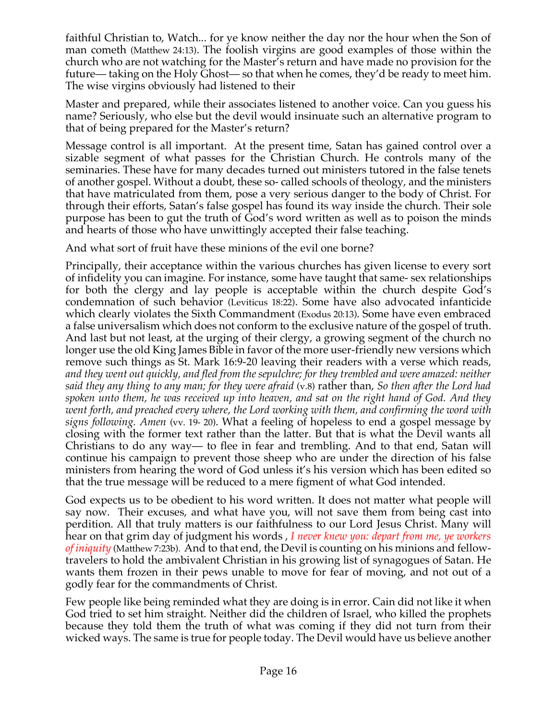faithful Christian to, Watch... for ye know neither the day nor the hour when the Son of man cometh (Matthew 24:13). The foolish virgins are good examples of those within the church who are not watching for the Master's return and have made no provision for the future— taking on the Holy Ghost— so that when he comes, they'd be ready to meet him. The wise virgins obviously had listened to their

Master and prepared, while their associates listened to another voice. Can you guess his name? Seriously, who else but the devil would insinuate such an alternative program to that of being prepared for the Master's return?

Message control is all important. At the present time, Satan has gained control over a sizable segment of what passes for the Christian Church. He controls many of the seminaries. These have for many decades turned out ministers tutored in the false tenets of another gospel. Without a doubt, these so- called schools of theology, and the ministers that have matriculated from them, pose a very serious danger to the body of Christ. For through their efforts, Satan's false gospel has found its way inside the church. Their sole purpose has been to gut the truth of God's word written as well as to poison the minds and hearts of those who have unwittingly accepted their false teaching.

And what sort of fruit have these minions of the evil one borne?

Principally, their acceptance within the various churches has given license to every sort of infidelity you can imagine. For instance, some have taught that same- sex relationships for both the clergy and lay people is acceptable within the church despite God's condemnation of such behavior (Leviticus 18:22). Some have also advocated infanticide which clearly violates the Sixth Commandment (Exodus 20:13). Some have even embraced a false universalism which does not conform to the exclusive nature of the gospel of truth. And last but not least, at the urging of their clergy, a growing segment of the church no longer use the old King James Bible in favor of the more user-friendly new versions which remove such things as St. Mark 16:9-20 leaving their readers with a verse which reads, *and they went out quickly, and fled from the sepulchre; for they trembled and were amazed: neither said they any thing to any man; for they were afraid* (v.8) rather than, *So then after the Lord had spoken unto them, he was received up into heaven, and sat on the right hand of God. And they went forth, and preached every where, the Lord working with them, and confirming the word with signs following. Amen* (vv. 19- 20). What a feeling of hopeless to end a gospel message by closing with the former text rather than the latter. But that is what the Devil wants all Christians to do any way— to flee in fear and trembling. And to that end, Satan will continue his campaign to prevent those sheep who are under the direction of his false ministers from hearing the word of God unless it's his version which has been edited so that the true message will be reduced to a mere figment of what God intended.

God expects us to be obedient to his word written. It does not matter what people will say now. Their excuses, and what have you, will not save them from being cast into perdition. All that truly matters is our faithfulness to our Lord Jesus Christ. Many will hear on that grim day of judgment his words , *I never knew you: depart from me, ye workers of iniquity* (Matthew 7:23b). And to that end, the Devil is counting on his minions and fellowtravelers to hold the ambivalent Christian in his growing list of synagogues of Satan. He wants them frozen in their pews unable to move for fear of moving, and not out of a godly fear for the commandments of Christ.

Few people like being reminded what they are doing is in error. Cain did not like it when God tried to set him straight. Neither did the children of Israel, who killed the prophets because they told them the truth of what was coming if they did not turn from their wicked ways. The same is true for people today. The Devil would have us believe another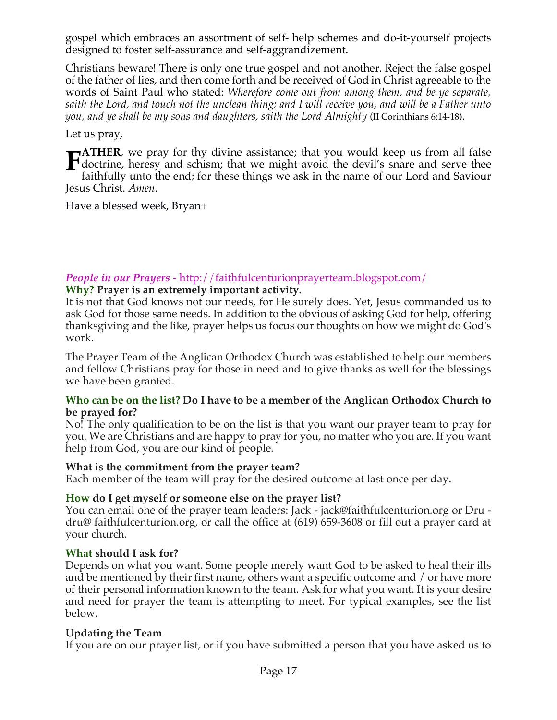gospel which embraces an assortment of self- help schemes and do-it-yourself projects designed to foster self-assurance and self-aggrandizement.

Christians beware! There is only one true gospel and not another. Reject the false gospel of the father of lies, and then come forth and be received of God in Christ agreeable to the words of Saint Paul who stated: *Wherefore come out from among them, and be ye separate, saith the Lord, and touch not the unclean thing; and I will receive you, and will be a Father unto you, and ye shall be my sons and daughters, saith the Lord Almighty* (II Corinthians 6:14-18).

Let us pray,

**ATHER**, we pray for thy divine assistance; that you would keep us from all false **FATHER**, we pray for thy divine assistance; that you would keep us from all false<br>doctrine, heresy and schism; that we might avoid the devil's snare and serve thee<br>faithfully unto the end: for these things we ask in the n faithfully unto the end; for these things we ask in the name of our Lord and Saviour Jesus Christ. *Amen*.

Have a blessed week, Bryan+

# *People in our Prayers* - http://faithfulcenturionprayerteam.blogspot.com/

### **Why? Prayer is an extremely important activity.**

It is not that God knows not our needs, for He surely does. Yet, Jesus commanded us to ask God for those same needs. In addition to the obvious of asking God for help, offering thanksgiving and the like, prayer helps us focus our thoughts on how we might do God's work.

The Prayer Team of the Anglican Orthodox Church was established to help our members and fellow Christians pray for those in need and to give thanks as well for the blessings we have been granted.

#### **Who can be on the list? Do I have to be a member of the Anglican Orthodox Church to be prayed for?**

No! The only qualification to be on the list is that you want our prayer team to pray for you. We are Christians and are happy to pray for you, no matter who you are. If you want help from God, you are our kind of people.

### **What is the commitment from the prayer team?**

Each member of the team will pray for the desired outcome at last once per day.

### **How do I get myself or someone else on the prayer list?**

You can email one of the prayer team leaders: Jack - jack@faithfulcenturion.org or Dru dru@ faithfulcenturion.org, or call the office at (619) 659-3608 or fill out a prayer card at your church.

#### **What should I ask for?**

Depends on what you want. Some people merely want God to be asked to heal their ills and be mentioned by their first name, others want a specific outcome and / or have more of their personal information known to the team. Ask for what you want. It is your desire and need for prayer the team is attempting to meet. For typical examples, see the list below.

### **Updating the Team**

If you are on our prayer list, or if you have submitted a person that you have asked us to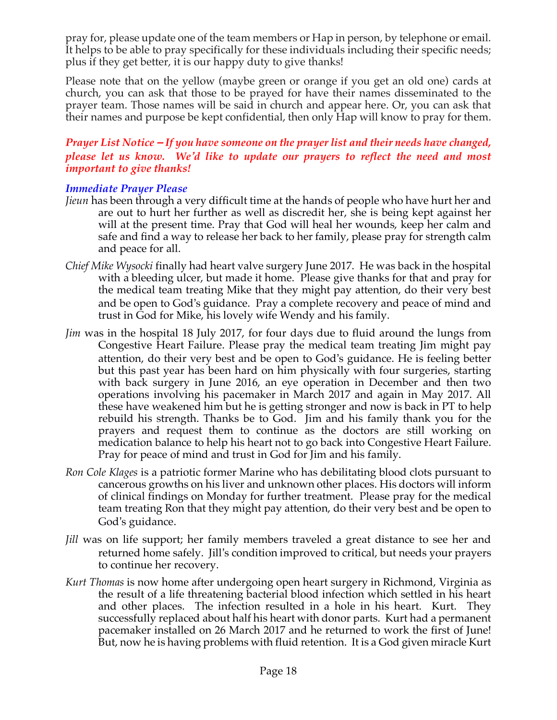pray for, please update one of the team members or Hap in person, by telephone or email. It helps to be able to pray specifically for these individuals including their specific needs; plus if they get better, it is our happy duty to give thanks!

Please note that on the yellow (maybe green or orange if you get an old one) cards at church, you can ask that those to be prayed for have their names disseminated to the prayer team. Those names will be said in church and appear here. Or, you can ask that their names and purpose be kept confidential, then only Hap will know to pray for them.

### *Prayer List Notice – If you have someone on the prayer list and their needs have changed, please let us know. We'd like to update our prayers to reflect the need and most important to give thanks!*

#### *Immediate Prayer Please*

- *Jieun* has been through a very difficult time at the hands of people who have hurt her and are out to hurt her further as well as discredit her, she is being kept against her will at the present time. Pray that God will heal her wounds, keep her calm and safe and find a way to release her back to her family, please pray for strength calm and peace for all.
- *Chief Mike Wysocki* finally had heart valve surgery June 2017. He was back in the hospital with a bleeding ulcer, but made it home. Please give thanks for that and pray for the medical team treating Mike that they might pay attention, do their very best and be open to God's guidance. Pray a complete recovery and peace of mind and trust in God for Mike, his lovely wife Wendy and his family.
- *Jim* was in the hospital 18 July 2017, for four days due to fluid around the lungs from Congestive Heart Failure. Please pray the medical team treating Jim might pay attention, do their very best and be open to God's guidance. He is feeling better but this past year has been hard on him physically with four surgeries, starting with back surgery in June 2016, an eye operation in December and then two operations involving his pacemaker in March 2017 and again in May 2017. All these have weakened him but he is getting stronger and now is back in PT to help rebuild his strength. Thanks be to God. Jim and his family thank you for the prayers and request them to continue as the doctors are still working on medication balance to help his heart not to go back into Congestive Heart Failure. Pray for peace of mind and trust in God for Jim and his family.
- *Ron Cole Klages* is a patriotic former Marine who has debilitating blood clots pursuant to cancerous growths on his liver and unknown other places. His doctors will inform of clinical findings on Monday for further treatment. Please pray for the medical team treating Ron that they might pay attention, do their very best and be open to God's guidance.
- *Jill* was on life support; her family members traveled a great distance to see her and returned home safely. Jill's condition improved to critical, but needs your prayers to continue her recovery.
- *Kurt Thomas* is now home after undergoing open heart surgery in Richmond, Virginia as the result of a life threatening bacterial blood infection which settled in his heart and other places. The infection resulted in a hole in his heart. Kurt. They successfully replaced about half his heart with donor parts. Kurt had a permanent pacemaker installed on 26 March 2017 and he returned to work the first of June! But, now he is having problems with fluid retention. It is a God given miracle Kurt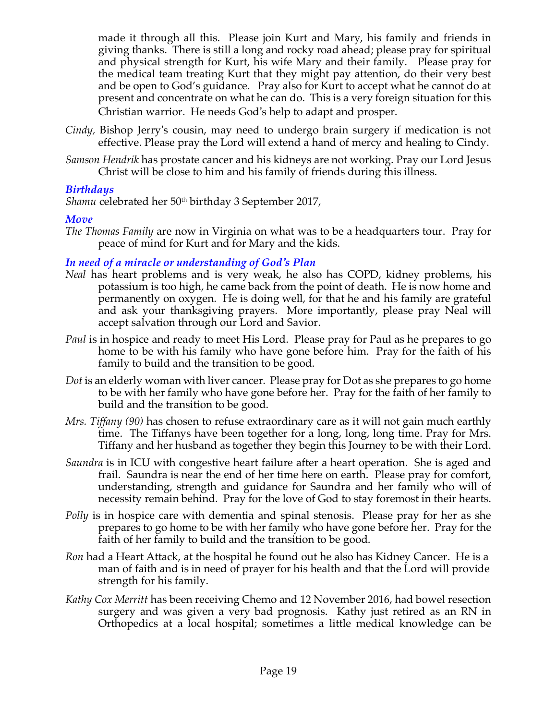made it through all this. Please join Kurt and Mary, his family and friends in giving thanks. There is still a long and rocky road ahead; please pray for spiritual and physical strength for Kurt, his wife Mary and their family. Please pray for the medical team treating Kurt that they might pay attention, do their very best and be open to God's guidance. Pray also for Kurt to accept what he cannot do at present and concentrate on what he can do. This is a very foreign situation for this Christian warrior. He needs God's help to adapt and prosper.

- *Cindy,* Bishop Jerry's cousin, may need to undergo brain surgery if medication is not effective. Please pray the Lord will extend a hand of mercy and healing to Cindy.
- *Samson Hendrik* has prostate cancer and his kidneys are not working. Pray our Lord Jesus Christ will be close to him and his family of friends during this illness.

### *Birthdays*

Shamu celebrated her 50<sup>th</sup> birthday 3 September 2017,

#### *Move*

*The Thomas Family* are now in Virginia on what was to be a headquarters tour. Pray for peace of mind for Kurt and for Mary and the kids.

### *In need of a miracle or understanding of God's Plan*

- *Neal* has heart problems and is very weak, he also has COPD, kidney problems, his potassium is too high, he came back from the point of death. He is now home and permanently on oxygen. He is doing well, for that he and his family are grateful and ask your thanksgiving prayers. More importantly, please pray Neal will accept salvation through our Lord and Savior.
- *Paul* is in hospice and ready to meet His Lord. Please pray for Paul as he prepares to go home to be with his family who have gone before him. Pray for the faith of his family to build and the transition to be good.
- *Dot* is an elderly woman with liver cancer. Please pray for Dot as she prepares to go home to be with her family who have gone before her. Pray for the faith of her family to build and the transition to be good.
- *Mrs. Tiffany (90)* has chosen to refuse extraordinary care as it will not gain much earthly time. The Tiffanys have been together for a long, long, long time. Pray for Mrs. Tiffany and her husband as together they begin this Journey to be with their Lord.
- *Saundra* is in ICU with congestive heart failure after a heart operation. She is aged and frail. Saundra is near the end of her time here on earth. Please pray for comfort, understanding, strength and guidance for Saundra and her family who will of necessity remain behind. Pray for the love of God to stay foremost in their hearts.
- *Polly* is in hospice care with dementia and spinal stenosis. Please pray for her as she prepares to go home to be with her family who have gone before her. Pray for the faith of her family to build and the transition to be good.
- *Ron* had a Heart Attack, at the hospital he found out he also has Kidney Cancer. He is a man of faith and is in need of prayer for his health and that the Lord will provide strength for his family.
- *Kathy Cox Merritt* has been receiving Chemo and 12 November 2016, had bowel resection surgery and was given a very bad prognosis. Kathy just retired as an RN in Orthopedics at a local hospital; sometimes a little medical knowledge can be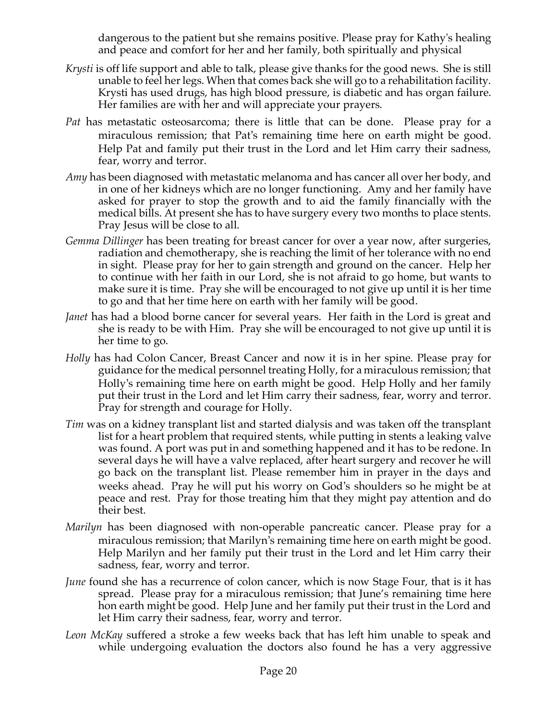dangerous to the patient but she remains positive. Please pray for Kathy's healing and peace and comfort for her and her family, both spiritually and physical

- *Krysti* is off life support and able to talk, please give thanks for the good news. She is still unable to feel her legs. When that comes back she will go to a rehabilitation facility. Krysti has used drugs, has high blood pressure, is diabetic and has organ failure. Her families are with her and will appreciate your prayers.
- *Pat* has metastatic osteosarcoma; there is little that can be done. Please pray for a miraculous remission; that Pat's remaining time here on earth might be good. Help Pat and family put their trust in the Lord and let Him carry their sadness, fear, worry and terror.
- *Amy* has been diagnosed with metastatic melanoma and has cancer all over her body, and in one of her kidneys which are no longer functioning. Amy and her family have asked for prayer to stop the growth and to aid the family financially with the medical bills. At present she has to have surgery every two months to place stents. Pray Jesus will be close to all.
- *Gemma Dillinger* has been treating for breast cancer for over a year now, after surgeries, radiation and chemotherapy, she is reaching the limit of her tolerance with no end in sight. Please pray for her to gain strength and ground on the cancer. Help her to continue with her faith in our Lord, she is not afraid to go home, but wants to make sure it is time. Pray she will be encouraged to not give up until it is her time to go and that her time here on earth with her family will be good.
- *Janet* has had a blood borne cancer for several years. Her faith in the Lord is great and she is ready to be with Him. Pray she will be encouraged to not give up until it is her time to go.
- *Holly* has had Colon Cancer, Breast Cancer and now it is in her spine. Please pray for guidance for the medical personnel treating Holly, for a miraculous remission; that Holly's remaining time here on earth might be good. Help Holly and her family put their trust in the Lord and let Him carry their sadness, fear, worry and terror. Pray for strength and courage for Holly.
- *Tim* was on a kidney transplant list and started dialysis and was taken off the transplant list for a heart problem that required stents, while putting in stents a leaking valve was found. A port was put in and something happened and it has to be redone. In several days he will have a valve replaced, after heart surgery and recover he will go back on the transplant list. Please remember him in prayer in the days and weeks ahead. Pray he will put his worry on God's shoulders so he might be at peace and rest. Pray for those treating him that they might pay attention and do their best.
- *Marilyn* has been diagnosed with non-operable pancreatic cancer. Please pray for a miraculous remission; that Marilyn's remaining time here on earth might be good. Help Marilyn and her family put their trust in the Lord and let Him carry their sadness, fear, worry and terror.
- *June* found she has a recurrence of colon cancer, which is now Stage Four, that is it has spread. Please pray for a miraculous remission; that June's remaining time here hon earth might be good. Help June and her family put their trust in the Lord and let Him carry their sadness, fear, worry and terror.
- *Leon McKay* suffered a stroke a few weeks back that has left him unable to speak and while undergoing evaluation the doctors also found he has a very aggressive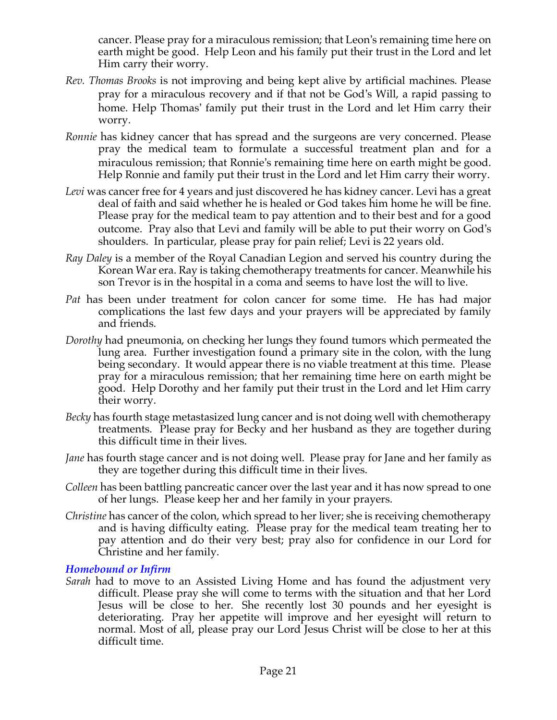cancer. Please pray for a miraculous remission; that Leon's remaining time here on earth might be good. Help Leon and his family put their trust in the Lord and let Him carry their worry.

- *Rev. Thomas Brooks* is not improving and being kept alive by artificial machines. Please pray for a miraculous recovery and if that not be God's Will, a rapid passing to home. Help Thomas' family put their trust in the Lord and let Him carry their worry.
- *Ronnie* has kidney cancer that has spread and the surgeons are very concerned. Please pray the medical team to formulate a successful treatment plan and for a miraculous remission; that Ronnie's remaining time here on earth might be good. Help Ronnie and family put their trust in the Lord and let Him carry their worry.
- Levi was cancer free for 4 years and just discovered he has kidney cancer. Levi has a great deal of faith and said whether he is healed or God takes him home he will be fine. Please pray for the medical team to pay attention and to their best and for a good outcome. Pray also that Levi and family will be able to put their worry on God's shoulders. In particular, please pray for pain relief; Levi is 22 years old.
- *Ray Daley* is a member of the Royal Canadian Legion and served his country during the Korean War era. Ray is taking chemotherapy treatments for cancer. Meanwhile his son Trevor is in the hospital in a coma and seems to have lost the will to live.
- *Pat* has been under treatment for colon cancer for some time. He has had major complications the last few days and your prayers will be appreciated by family and friends.
- *Dorothy* had pneumonia, on checking her lungs they found tumors which permeated the lung area. Further investigation found a primary site in the colon, with the lung being secondary. It would appear there is no viable treatment at this time. Please pray for a miraculous remission; that her remaining time here on earth might be good. Help Dorothy and her family put their trust in the Lord and let Him carry their worry.
- *Becky* has fourth stage metastasized lung cancer and is not doing well with chemotherapy treatments. Please pray for Becky and her husband as they are together during this difficult time in their lives.
- *Jane* has fourth stage cancer and is not doing well. Please pray for Jane and her family as they are together during this difficult time in their lives.
- *Colleen* has been battling pancreatic cancer over the last year and it has now spread to one of her lungs. Please keep her and her family in your prayers.
- *Christine* has cancer of the colon, which spread to her liver; she is receiving chemotherapy and is having difficulty eating. Please pray for the medical team treating her to pay attention and do their very best; pray also for confidence in our Lord for Christine and her family.

#### *Homebound or Infirm*

*Sarah* had to move to an Assisted Living Home and has found the adjustment very difficult. Please pray she will come to terms with the situation and that her Lord Jesus will be close to her. She recently lost 30 pounds and her eyesight is deteriorating. Pray her appetite will improve and her eyesight will return to normal. Most of all, please pray our Lord Jesus Christ will be close to her at this difficult time.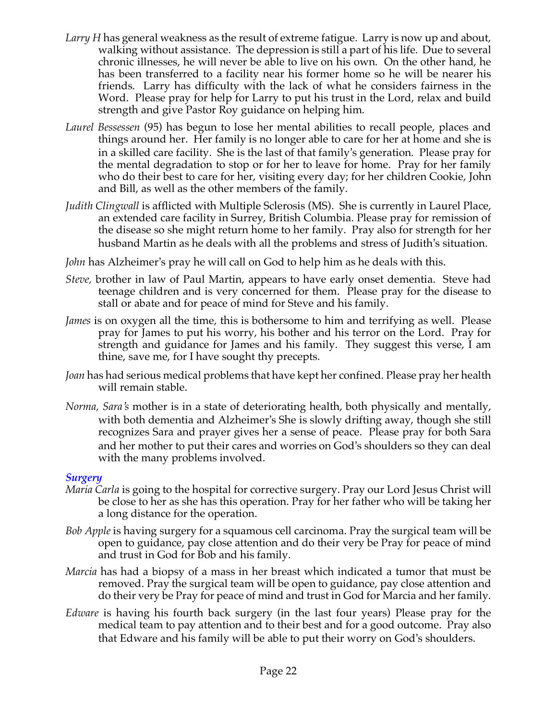- *Larry H* has general weakness as the result of extreme fatigue. Larry is now up and about, walking without assistance. The depression is still a part of his life. Due to several chronic illnesses, he will never be able to live on his own. On the other hand, he has been transferred to a facility near his former home so he will be nearer his friends. Larry has difficulty with the lack of what he considers fairness in the Word. Please pray for help for Larry to put his trust in the Lord, relax and build strength and give Pastor Roy guidance on helping him.
- *Laurel Bessessen* (95) has begun to lose her mental abilities to recall people, places and things around her. Her family is no longer able to care for her at home and she is in a skilled care facility. She is the last of that family's generation. Please pray for the mental degradation to stop or for her to leave for home. Pray for her family who do their best to care for her, visiting every day; for her children Cookie, John and Bill, as well as the other members of the family.
- *Judith Clingwall* is afflicted with Multiple Sclerosis (MS). She is currently in Laurel Place, an extended care facility in Surrey, British Columbia. Please pray for remission of the disease so she might return home to her family. Pray also for strength for her husband Martin as he deals with all the problems and stress of Judith's situation.
- *John* has Alzheimer's pray he will call on God to help him as he deals with this.
- *Steve,* brother in law of Paul Martin, appears to have early onset dementia. Steve had teenage children and is very concerned for them. Please pray for the disease to stall or abate and for peace of mind for Steve and his family.
- *James* is on oxygen all the time, this is bothersome to him and terrifying as well. Please pray for James to put his worry, his bother and his terror on the Lord. Pray for strength and guidance for James and his family. They suggest this verse, I am thine, save me, for I have sought thy precepts.
- *Joan* has had serious medical problems that have kept her confined. Please pray her health will remain stable.
- *Norma, Sara's* mother is in a state of deteriorating health, both physically and mentally, with both dementia and Alzheimer's She is slowly drifting away, though she still recognizes Sara and prayer gives her a sense of peace. Please pray for both Sara and her mother to put their cares and worries on God's shoulders so they can deal with the many problems involved.

#### *Surgery*

- *Maria Carla* is going to the hospital for corrective surgery. Pray our Lord Jesus Christ will be close to her as she has this operation. Pray for her father who will be taking her a long distance for the operation.
- *Bob Apple* is having surgery for a squamous cell carcinoma. Pray the surgical team will be open to guidance, pay close attention and do their very be Pray for peace of mind and trust in God for Bob and his family.
- *Marcia* has had a biopsy of a mass in her breast which indicated a tumor that must be removed. Pray the surgical team will be open to guidance, pay close attention and do their very be Pray for peace of mind and trust in God for Marcia and her family.
- *Edware* is having his fourth back surgery (in the last four years) Please pray for the medical team to pay attention and to their best and for a good outcome. Pray also that Edware and his family will be able to put their worry on God's shoulders.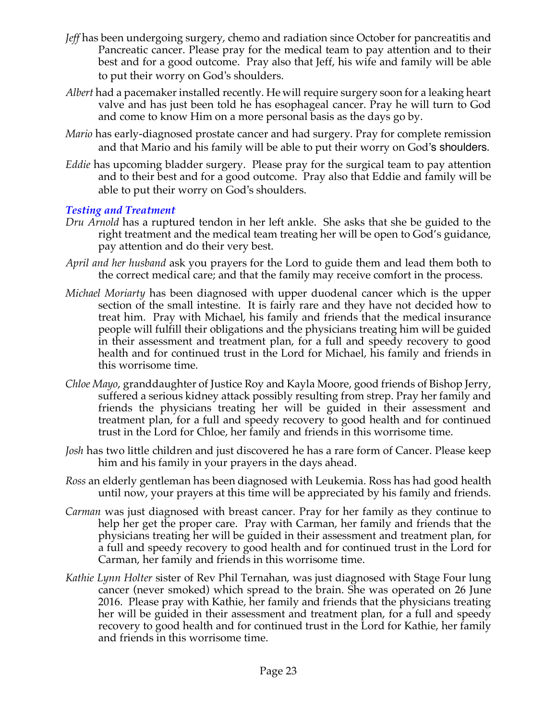- *Jeff* has been undergoing surgery, chemo and radiation since October for pancreatitis and Pancreatic cancer. Please pray for the medical team to pay attention and to their best and for a good outcome. Pray also that Jeff, his wife and family will be able to put their worry on God's shoulders.
- *Albert* had a pacemaker installed recently. He will require surgery soon for a leaking heart valve and has just been told he has esophageal cancer. Pray he will turn to God and come to know Him on a more personal basis as the days go by.
- *Mario* has early-diagnosed prostate cancer and had surgery. Pray for complete remission and that Mario and his family will be able to put their worry on God's shoulders.
- *Eddie* has upcoming bladder surgery. Please pray for the surgical team to pay attention and to their best and for a good outcome. Pray also that Eddie and family will be able to put their worry on God's shoulders.

### *Testing and Treatment*

- *Dru Arnold* has a ruptured tendon in her left ankle. She asks that she be guided to the right treatment and the medical team treating her will be open to God's guidance, pay attention and do their very best.
- *April and her husband* ask you prayers for the Lord to guide them and lead them both to the correct medical care; and that the family may receive comfort in the process.
- *Michael Moriarty* has been diagnosed with upper duodenal cancer which is the upper section of the small intestine. It is fairly rare and they have not decided how to treat him. Pray with Michael, his family and friends that the medical insurance people will fulfill their obligations and the physicians treating him will be guided in their assessment and treatment plan, for a full and speedy recovery to good health and for continued trust in the Lord for Michael, his family and friends in this worrisome time.
- *Chloe Mayo*, granddaughter of Justice Roy and Kayla Moore, good friends of Bishop Jerry, suffered a serious kidney attack possibly resulting from strep. Pray her family and friends the physicians treating her will be guided in their assessment and treatment plan, for a full and speedy recovery to good health and for continued trust in the Lord for Chloe, her family and friends in this worrisome time.
- *Josh* has two little children and just discovered he has a rare form of Cancer. Please keep him and his family in your prayers in the days ahead.
- *Ross* an elderly gentleman has been diagnosed with Leukemia. Ross has had good health until now, your prayers at this time will be appreciated by his family and friends.
- *Carman* was just diagnosed with breast cancer. Pray for her family as they continue to help her get the proper care. Pray with Carman, her family and friends that the physicians treating her will be guided in their assessment and treatment plan, for a full and speedy recovery to good health and for continued trust in the Lord for Carman, her family and friends in this worrisome time.
- *Kathie Lynn Holter* sister of Rev Phil Ternahan, was just diagnosed with Stage Four lung cancer (never smoked) which spread to the brain. She was operated on 26 June 2016. Please pray with Kathie, her family and friends that the physicians treating her will be guided in their assessment and treatment plan, for a full and speedy recovery to good health and for continued trust in the Lord for Kathie, her family and friends in this worrisome time.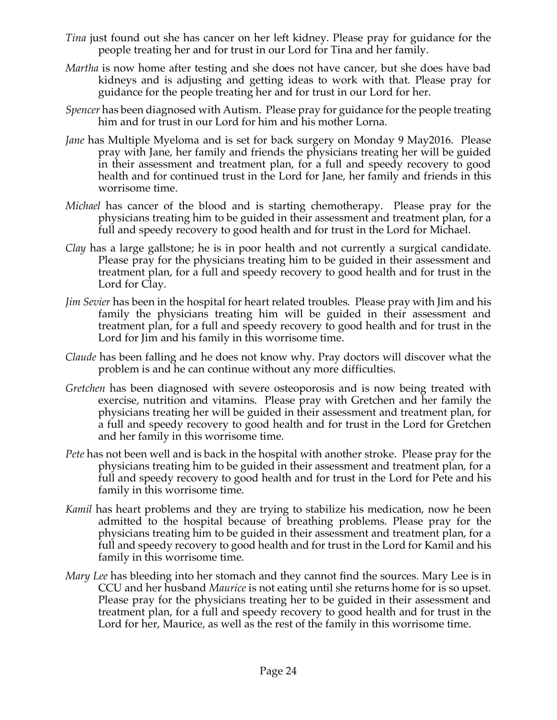- *Tina* just found out she has cancer on her left kidney. Please pray for guidance for the people treating her and for trust in our Lord for Tina and her family.
- *Martha* is now home after testing and she does not have cancer, but she does have bad kidneys and is adjusting and getting ideas to work with that. Please pray for guidance for the people treating her and for trust in our Lord for her.
- *Spencer* has been diagnosed with Autism. Please pray for guidance for the people treating him and for trust in our Lord for him and his mother Lorna.
- *Jane* has Multiple Myeloma and is set for back surgery on Monday 9 May2016. Please pray with Jane, her family and friends the physicians treating her will be guided in their assessment and treatment plan, for a full and speedy recovery to good health and for continued trust in the Lord for Jane, her family and friends in this worrisome time.
- *Michael* has cancer of the blood and is starting chemotherapy. Please pray for the physicians treating him to be guided in their assessment and treatment plan, for a full and speedy recovery to good health and for trust in the Lord for Michael.
- *Clay* has a large gallstone; he is in poor health and not currently a surgical candidate. Please pray for the physicians treating him to be guided in their assessment and treatment plan, for a full and speedy recovery to good health and for trust in the Lord for Clay.
- *Jim Sevier* has been in the hospital for heart related troubles. Please pray with Jim and his family the physicians treating him will be guided in their assessment and treatment plan, for a full and speedy recovery to good health and for trust in the Lord for Jim and his family in this worrisome time.
- *Claude* has been falling and he does not know why. Pray doctors will discover what the problem is and he can continue without any more difficulties.
- *Gretchen* has been diagnosed with severe osteoporosis and is now being treated with exercise, nutrition and vitamins. Please pray with Gretchen and her family the physicians treating her will be guided in their assessment and treatment plan, for a full and speedy recovery to good health and for trust in the Lord for Gretchen and her family in this worrisome time.
- *Pete* has not been well and is back in the hospital with another stroke. Please pray for the physicians treating him to be guided in their assessment and treatment plan, for a full and speedy recovery to good health and for trust in the Lord for Pete and his family in this worrisome time.
- *Kamil* has heart problems and they are trying to stabilize his medication, now he been admitted to the hospital because of breathing problems. Please pray for the physicians treating him to be guided in their assessment and treatment plan, for a full and speedy recovery to good health and for trust in the Lord for Kamil and his family in this worrisome time.
- *Mary Lee* has bleeding into her stomach and they cannot find the sources. Mary Lee is in CCU and her husband *Maurice* is not eating until she returns home for is so upset. Please pray for the physicians treating her to be guided in their assessment and treatment plan, for a full and speedy recovery to good health and for trust in the Lord for her, Maurice, as well as the rest of the family in this worrisome time.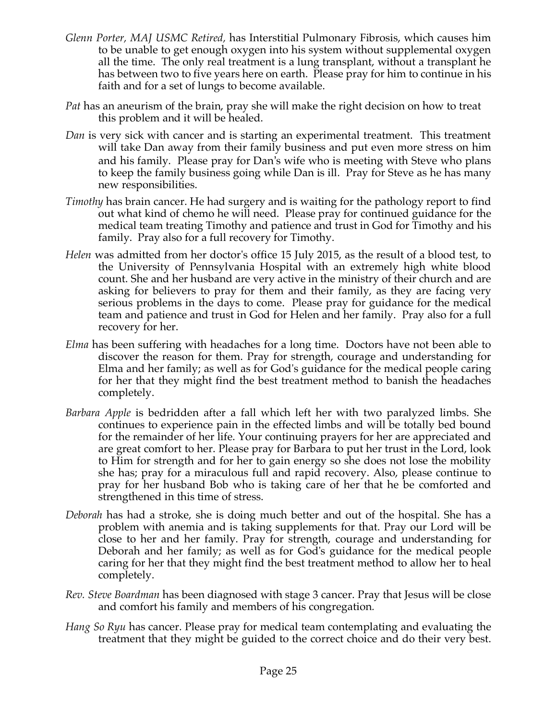- *Glenn Porter, MAJ USMC Retired,* has Interstitial Pulmonary Fibrosis, which causes him to be unable to get enough oxygen into his system without supplemental oxygen all the time. The only real treatment is a lung transplant, without a transplant he has between two to five years here on earth. Please pray for him to continue in his faith and for a set of lungs to become available.
- *Pat* has an aneurism of the brain, pray she will make the right decision on how to treat this problem and it will be healed.
- *Dan* is very sick with cancer and is starting an experimental treatment. This treatment will take Dan away from their family business and put even more stress on him and his family. Please pray for Dan's wife who is meeting with Steve who plans to keep the family business going while Dan is ill. Pray for Steve as he has many new responsibilities.
- *Timothy* has brain cancer. He had surgery and is waiting for the pathology report to find out what kind of chemo he will need. Please pray for continued guidance for the medical team treating Timothy and patience and trust in God for Timothy and his family. Pray also for a full recovery for Timothy.
- *Helen* was admitted from her doctor's office 15 July 2015, as the result of a blood test, to the University of Pennsylvania Hospital with an extremely high white blood count. She and her husband are very active in the ministry of their church and are asking for believers to pray for them and their family, as they are facing very serious problems in the days to come. Please pray for guidance for the medical team and patience and trust in God for Helen and her family. Pray also for a full recovery for her.
- *Elma* has been suffering with headaches for a long time. Doctors have not been able to discover the reason for them. Pray for strength, courage and understanding for Elma and her family; as well as for God's guidance for the medical people caring for her that they might find the best treatment method to banish the headaches completely.
- *Barbara Apple* is bedridden after a fall which left her with two paralyzed limbs. She continues to experience pain in the effected limbs and will be totally bed bound for the remainder of her life. Your continuing prayers for her are appreciated and are great comfort to her. Please pray for Barbara to put her trust in the Lord, look to Him for strength and for her to gain energy so she does not lose the mobility she has; pray for a miraculous full and rapid recovery. Also, please continue to pray for her husband Bob who is taking care of her that he be comforted and strengthened in this time of stress.
- *Deborah* has had a stroke, she is doing much better and out of the hospital. She has a problem with anemia and is taking supplements for that. Pray our Lord will be close to her and her family. Pray for strength, courage and understanding for Deborah and her family; as well as for God's guidance for the medical people caring for her that they might find the best treatment method to allow her to heal completely.
- *Rev. Steve Boardman* has been diagnosed with stage 3 cancer. Pray that Jesus will be close and comfort his family and members of his congregation*.*
- *Hang So Ryu* has cancer. Please pray for medical team contemplating and evaluating the treatment that they might be guided to the correct choice and do their very best.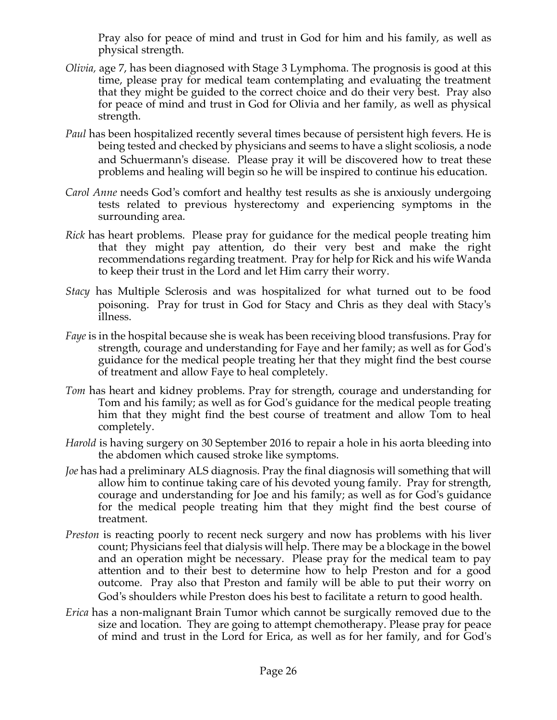Pray also for peace of mind and trust in God for him and his family, as well as physical strength.

- *Olivia,* age 7, has been diagnosed with Stage 3 Lymphoma. The prognosis is good at this time, please pray for medical team contemplating and evaluating the treatment that they might be guided to the correct choice and do their very best. Pray also for peace of mind and trust in God for Olivia and her family, as well as physical strength.
- Paul has been hospitalized recently several times because of persistent high fevers. He is being tested and checked by physicians and seems to have a slight scoliosis, a node and Schuermann's disease. Please pray it will be discovered how to treat these problems and healing will begin so he will be inspired to continue his education.
- *Carol Anne* needs God's comfort and healthy test results as she is anxiously undergoing tests related to previous hysterectomy and experiencing symptoms in the surrounding area.
- *Rick* has heart problems. Please pray for guidance for the medical people treating him that they might pay attention, do their very best and make the right recommendations regarding treatment. Pray for help for Rick and his wife Wanda to keep their trust in the Lord and let Him carry their worry.
- *Stacy* has Multiple Sclerosis and was hospitalized for what turned out to be food poisoning. Pray for trust in God for Stacy and Chris as they deal with Stacy's illness.
- *Faye* is in the hospital because she is weak has been receiving blood transfusions. Pray for strength, courage and understanding for Faye and her family; as well as for God's guidance for the medical people treating her that they might find the best course of treatment and allow Faye to heal completely.
- *Tom* has heart and kidney problems. Pray for strength, courage and understanding for Tom and his family; as well as for God's guidance for the medical people treating him that they might find the best course of treatment and allow Tom to heal completely.
- *Harold* is having surgery on 30 September 2016 to repair a hole in his aorta bleeding into the abdomen which caused stroke like symptoms.
- *Joe* has had a preliminary ALS diagnosis. Pray the final diagnosis will something that will allow him to continue taking care of his devoted young family. Pray for strength, courage and understanding for Joe and his family; as well as for God's guidance for the medical people treating him that they might find the best course of treatment.
- *Preston* is reacting poorly to recent neck surgery and now has problems with his liver count; Physicians feel that dialysis will help. There may be a blockage in the bowel and an operation might be necessary. Please pray for the medical team to pay attention and to their best to determine how to help Preston and for a good outcome. Pray also that Preston and family will be able to put their worry on God's shoulders while Preston does his best to facilitate a return to good health.
- *Erica* has a non-malignant Brain Tumor which cannot be surgically removed due to the size and location. They are going to attempt chemotherapy. Please pray for peace of mind and trust in the Lord for Erica, as well as for her family, and for God's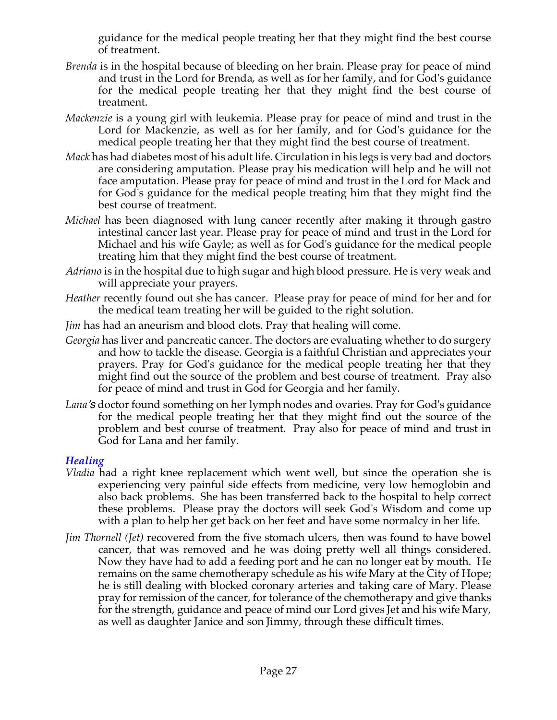guidance for the medical people treating her that they might find the best course of treatment.

- *Brenda* is in the hospital because of bleeding on her brain. Please pray for peace of mind and trust in the Lord for Brenda, as well as for her family, and for God's guidance for the medical people treating her that they might find the best course of treatment.
- *Mackenzie* is a young girl with leukemia. Please pray for peace of mind and trust in the Lord for Mackenzie, as well as for her family, and for God's guidance for the medical people treating her that they might find the best course of treatment.
- *Mack* has had diabetes most of his adult life. Circulation in his legs is very bad and doctors are considering amputation. Please pray his medication will help and he will not face amputation. Please pray for peace of mind and trust in the Lord for Mack and for God's guidance for the medical people treating him that they might find the best course of treatment.
- *Michael* has been diagnosed with lung cancer recently after making it through gastro intestinal cancer last year. Please pray for peace of mind and trust in the Lord for Michael and his wife Gayle; as well as for God's guidance for the medical people treating him that they might find the best course of treatment.
- *Adriano* is in the hospital due to high sugar and high blood pressure. He is very weak and will appreciate your prayers.
- *Heather* recently found out she has cancer. Please pray for peace of mind for her and for the medical team treating her will be guided to the right solution.
- *Jim* has had an aneurism and blood clots. Pray that healing will come.
- *Georgia* has liver and pancreatic cancer. The doctors are evaluating whether to do surgery and how to tackle the disease. Georgia is a faithful Christian and appreciates your prayers. Pray for God's guidance for the medical people treating her that they might find out the source of the problem and best course of treatment. Pray also for peace of mind and trust in God for Georgia and her family.
- *Lana's* doctor found something on her lymph nodes and ovaries. Pray for God's guidance for the medical people treating her that they might find out the source of the problem and best course of treatment. Pray also for peace of mind and trust in God for Lana and her family.

### *Healing*

- *Vladia* had a right knee replacement which went well, but since the operation she is experiencing very painful side effects from medicine, very low hemoglobin and also back problems. She has been transferred back to the hospital to help correct these problems. Please pray the doctors will seek God's Wisdom and come up with a plan to help her get back on her feet and have some normalcy in her life.
- *Jim Thornell (Jet)* recovered from the five stomach ulcers, then was found to have bowel cancer, that was removed and he was doing pretty well all things considered. Now they have had to add a feeding port and he can no longer eat by mouth. He remains on the same chemotherapy schedule as his wife Mary at the City of Hope; he is still dealing with blocked coronary arteries and taking care of Mary. Please pray for remission of the cancer, for tolerance of the chemotherapy and give thanks for the strength, guidance and peace of mind our Lord gives Jet and his wife Mary, as well as daughter Janice and son Jimmy, through these difficult times.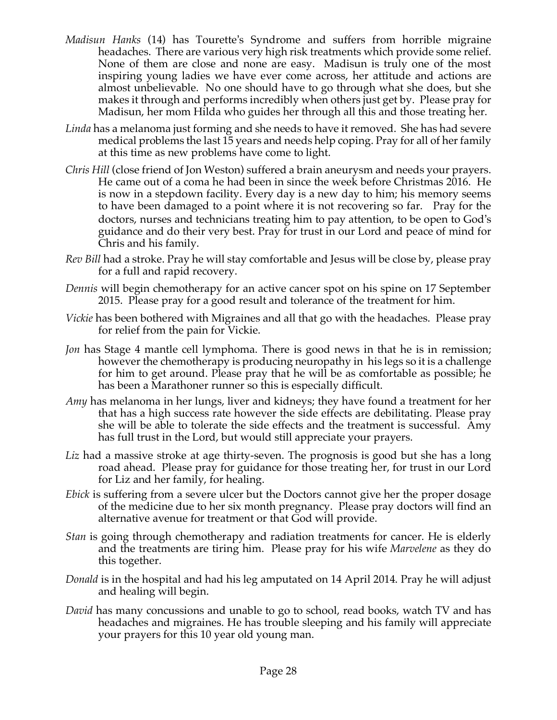- *Madisun Hanks* (14) has Tourette's Syndrome and suffers from horrible migraine headaches. There are various very high risk treatments which provide some relief. None of them are close and none are easy. Madisun is truly one of the most inspiring young ladies we have ever come across, her attitude and actions are almost unbelievable. No one should have to go through what she does, but she makes it through and performs incredibly when others just get by. Please pray for Madisun, her mom Hilda who guides her through all this and those treating her.
- *Linda* has a melanoma just forming and she needs to have it removed. She has had severe medical problems the last 15 years and needs help coping. Pray for all of her family at this time as new problems have come to light.
- *Chris Hill* (close friend of Jon Weston) suffered a brain aneurysm and needs your prayers. He came out of a coma he had been in since the week before Christmas 2016. He is now in a stepdown facility. Every day is a new day to him; his memory seems to have been damaged to a point where it is not recovering so far. Pray for the doctors, nurses and technicians treating him to pay attention, to be open to God's guidance and do their very best. Pray for trust in our Lord and peace of mind for Chris and his family.
- *Rev Bill* had a stroke. Pray he will stay comfortable and Jesus will be close by, please pray for a full and rapid recovery.
- *Dennis* will begin chemotherapy for an active cancer spot on his spine on 17 September 2015. Please pray for a good result and tolerance of the treatment for him.
- *Vickie* has been bothered with Migraines and all that go with the headaches. Please pray for relief from the pain for Vickie.
- *Jon* has Stage 4 mantle cell lymphoma. There is good news in that he is in remission; however the chemotherapy is producing neuropathy in his legs so it is a challenge for him to get around. Please pray that he will be as comfortable as possible; he has been a Marathoner runner so this is especially difficult.
- *Amy* has melanoma in her lungs, liver and kidneys; they have found a treatment for her that has a high success rate however the side effects are debilitating. Please pray she will be able to tolerate the side effects and the treatment is successful. Amy has full trust in the Lord, but would still appreciate your prayers.
- *Liz* had a massive stroke at age thirty-seven. The prognosis is good but she has a long road ahead. Please pray for guidance for those treating her, for trust in our Lord for Liz and her family, for healing.
- *Ebick* is suffering from a severe ulcer but the Doctors cannot give her the proper dosage of the medicine due to her six month pregnancy. Please pray doctors will find an alternative avenue for treatment or that God will provide.
- *Stan* is going through chemotherapy and radiation treatments for cancer. He is elderly and the treatments are tiring him. Please pray for his wife *Marvelene* as they do this together.
- *Donald* is in the hospital and had his leg amputated on 14 April 2014. Pray he will adjust and healing will begin.
- *David* has many concussions and unable to go to school, read books, watch TV and has headaches and migraines. He has trouble sleeping and his family will appreciate your prayers for this 10 year old young man.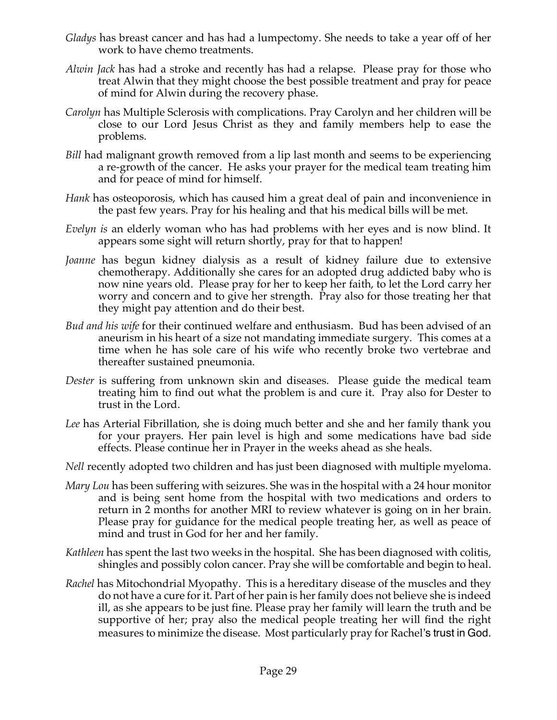- *Gladys* has breast cancer and has had a lumpectomy. She needs to take a year off of her work to have chemo treatments.
- *Alwin Jack* has had a stroke and recently has had a relapse. Please pray for those who treat Alwin that they might choose the best possible treatment and pray for peace of mind for Alwin during the recovery phase.
- *Carolyn* has Multiple Sclerosis with complications. Pray Carolyn and her children will be close to our Lord Jesus Christ as they and family members help to ease the problems.
- *Bill* had malignant growth removed from a lip last month and seems to be experiencing a re-growth of the cancer. He asks your prayer for the medical team treating him and for peace of mind for himself.
- *Hank* has osteoporosis, which has caused him a great deal of pain and inconvenience in the past few years. Pray for his healing and that his medical bills will be met.
- *Evelyn is* an elderly woman who has had problems with her eyes and is now blind. It appears some sight will return shortly, pray for that to happen!
- *Joanne* has begun kidney dialysis as a result of kidney failure due to extensive chemotherapy. Additionally she cares for an adopted drug addicted baby who is now nine years old. Please pray for her to keep her faith, to let the Lord carry her worry and concern and to give her strength. Pray also for those treating her that they might pay attention and do their best.
- *Bud and his wife* for their continued welfare and enthusiasm. Bud has been advised of an aneurism in his heart of a size not mandating immediate surgery. This comes at a time when he has sole care of his wife who recently broke two vertebrae and thereafter sustained pneumonia.
- *Dester* is suffering from unknown skin and diseases. Please guide the medical team treating him to find out what the problem is and cure it. Pray also for Dester to trust in the Lord.
- *Lee* has Arterial Fibrillation, she is doing much better and she and her family thank you for your prayers. Her pain level is high and some medications have bad side effects. Please continue her in Prayer in the weeks ahead as she heals.
- *Nell* recently adopted two children and has just been diagnosed with multiple myeloma.
- *Mary Lou* has been suffering with seizures. She was in the hospital with a 24 hour monitor and is being sent home from the hospital with two medications and orders to return in 2 months for another MRI to review whatever is going on in her brain. Please pray for guidance for the medical people treating her, as well as peace of mind and trust in God for her and her family.
- *Kathleen* has spent the last two weeks in the hospital. She has been diagnosed with colitis, shingles and possibly colon cancer. Pray she will be comfortable and begin to heal.
- *Rachel* has Mitochondrial Myopathy. This is a hereditary disease of the muscles and they do not have a cure for it. Part of her pain is her family does not believe she is indeed ill, as she appears to be just fine. Please pray her family will learn the truth and be supportive of her; pray also the medical people treating her will find the right measures to minimize the disease. Most particularly pray for Rachel's trust in God.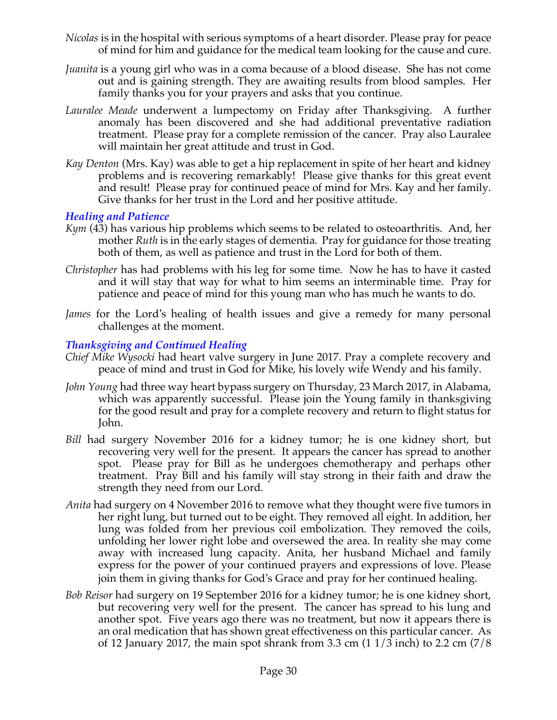- *Nicolas* is in the hospital with serious symptoms of a heart disorder. Please pray for peace of mind for him and guidance for the medical team looking for the cause and cure.
- *Juanita* is a young girl who was in a coma because of a blood disease. She has not come out and is gaining strength. They are awaiting results from blood samples. Her family thanks you for your prayers and asks that you continue.
- *Lauralee Meade* underwent a lumpectomy on Friday after Thanksgiving. A further anomaly has been discovered and she had additional preventative radiation treatment. Please pray for a complete remission of the cancer. Pray also Lauralee will maintain her great attitude and trust in God.
- *Kay Denton* (Mrs. Kay) was able to get a hip replacement in spite of her heart and kidney problems and is recovering remarkably! Please give thanks for this great event and result! Please pray for continued peace of mind for Mrs. Kay and her family. Give thanks for her trust in the Lord and her positive attitude.

#### *Healing and Patience*

- *Kym* (43) has various hip problems which seems to be related to osteoarthritis. And, her mother *Ruth* is in the early stages of dementia. Pray for guidance for those treating both of them, as well as patience and trust in the Lord for both of them.
- *Christopher* has had problems with his leg for some time. Now he has to have it casted and it will stay that way for what to him seems an interminable time. Pray for patience and peace of mind for this young man who has much he wants to do.
- *James* for the Lord's healing of health issues and give a remedy for many personal challenges at the moment.

#### *Thanksgiving and Continued Healing*

- *Chief Mike Wysocki* had heart valve surgery in June 2017. Pray a complete recovery and peace of mind and trust in God for Mike, his lovely wife Wendy and his family.
- *John Young* had three way heart bypass surgery on Thursday, 23 March 2017, in Alabama, which was apparently successful. Please join the Young family in thanksgiving for the good result and pray for a complete recovery and return to flight status for John.
- *Bill* had surgery November 2016 for a kidney tumor; he is one kidney short, but recovering very well for the present. It appears the cancer has spread to another spot. Please pray for Bill as he undergoes chemotherapy and perhaps other treatment. Pray Bill and his family will stay strong in their faith and draw the strength they need from our Lord.
- *Anita* had surgery on 4 November 2016 to remove what they thought were five tumors in her right lung, but turned out to be eight. They removed all eight. In addition, her lung was folded from her previous coil embolization. They removed the coils, unfolding her lower right lobe and oversewed the area. In reality she may come away with increased lung capacity. Anita, her husband Michael and family express for the power of your continued prayers and expressions of love. Please join them in giving thanks for God's Grace and pray for her continued healing.
- *Bob Reisor* had surgery on 19 September 2016 for a kidney tumor; he is one kidney short, but recovering very well for the present. The cancer has spread to his lung and another spot. Five years ago there was no treatment, but now it appears there is an oral medication that has shown great effectiveness on this particular cancer. As of 12 January 2017, the main spot shrank from 3.3 cm  $(11/3 \text{ inch})$  to 2.2 cm  $(7/8 \text{ ft})$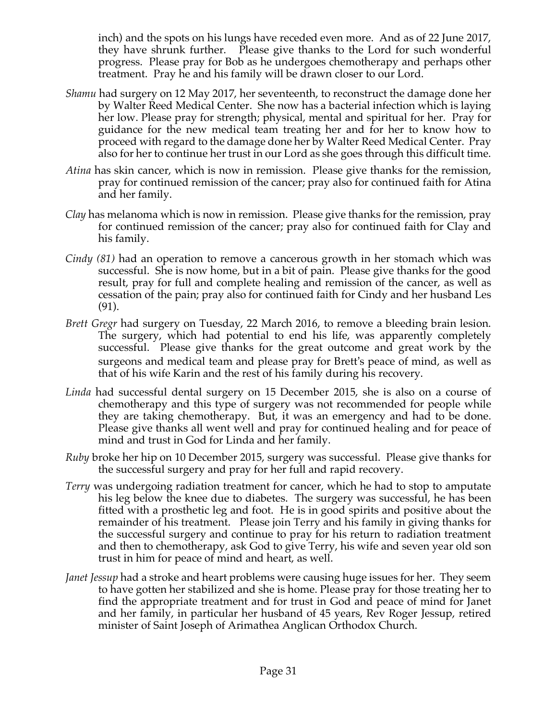inch) and the spots on his lungs have receded even more. And as of 22 June 2017, they have shrunk further. Please give thanks to the Lord for such wonderful progress. Please pray for Bob as he undergoes chemotherapy and perhaps other treatment. Pray he and his family will be drawn closer to our Lord.

- *Shamu* had surgery on 12 May 2017, her seventeenth, to reconstruct the damage done her by Walter Reed Medical Center. She now has a bacterial infection which is laying her low. Please pray for strength; physical, mental and spiritual for her. Pray for guidance for the new medical team treating her and for her to know how to proceed with regard to the damage done her by Walter Reed Medical Center. Pray also for her to continue her trust in our Lord as she goes through this difficult time.
- *Atina* has skin cancer, which is now in remission. Please give thanks for the remission, pray for continued remission of the cancer; pray also for continued faith for Atina and her family.
- *Clay* has melanoma which is now in remission. Please give thanks for the remission, pray for continued remission of the cancer; pray also for continued faith for Clay and his family.
- *Cindy (81)* had an operation to remove a cancerous growth in her stomach which was successful. She is now home, but in a bit of pain. Please give thanks for the good result, pray for full and complete healing and remission of the cancer, as well as cessation of the pain; pray also for continued faith for Cindy and her husband Les (91).
- *Brett Gregr* had surgery on Tuesday, 22 March 2016, to remove a bleeding brain lesion. The surgery, which had potential to end his life, was apparently completely successful. Please give thanks for the great outcome and great work by the surgeons and medical team and please pray for Brett's peace of mind, as well as that of his wife Karin and the rest of his family during his recovery.
- *Linda* had successful dental surgery on 15 December 2015, she is also on a course of chemotherapy and this type of surgery was not recommended for people while they are taking chemotherapy. But, it was an emergency and had to be done. Please give thanks all went well and pray for continued healing and for peace of mind and trust in God for Linda and her family.
- *Ruby* broke her hip on 10 December 2015, surgery was successful. Please give thanks for the successful surgery and pray for her full and rapid recovery.
- *Terry* was undergoing radiation treatment for cancer, which he had to stop to amputate his leg below the knee due to diabetes. The surgery was successful, he has been fitted with a prosthetic leg and foot. He is in good spirits and positive about the remainder of his treatment. Please join Terry and his family in giving thanks for the successful surgery and continue to pray for his return to radiation treatment and then to chemotherapy, ask God to give Terry, his wife and seven year old son trust in him for peace of mind and heart, as well.
- *Janet Jessup* had a stroke and heart problems were causing huge issues for her. They seem to have gotten her stabilized and she is home. Please pray for those treating her to find the appropriate treatment and for trust in God and peace of mind for Janet and her family, in particular her husband of 45 years, Rev Roger Jessup, retired minister of Saint Joseph of Arimathea Anglican Orthodox Church.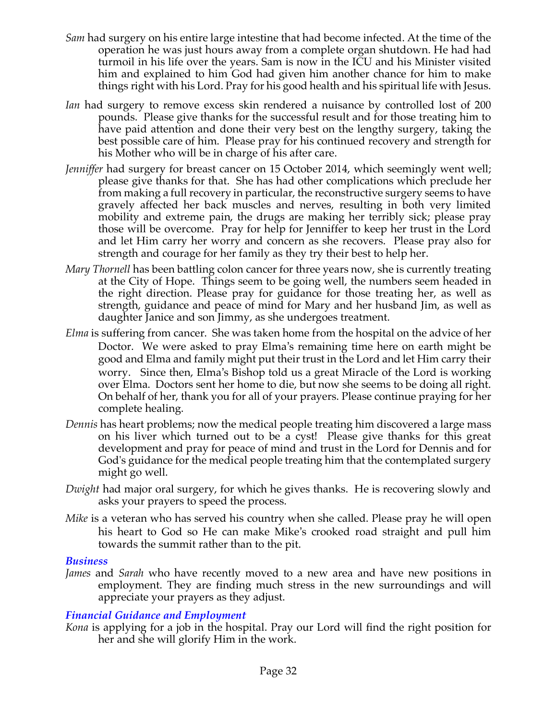- *Sam* had surgery on his entire large intestine that had become infected. At the time of the operation he was just hours away from a complete organ shutdown. He had had turmoil in his life over the years. Sam is now in the ICU and his Minister visited him and explained to him God had given him another chance for him to make things right with his Lord. Pray for his good health and his spiritual life with Jesus.
- *Ian* had surgery to remove excess skin rendered a nuisance by controlled lost of 200 pounds. Please give thanks for the successful result and for those treating him to have paid attention and done their very best on the lengthy surgery, taking the best possible care of him. Please pray for his continued recovery and strength for his Mother who will be in charge of his after care.
- *Jenniffer* had surgery for breast cancer on 15 October 2014, which seemingly went well; please give thanks for that. She has had other complications which preclude her from making a full recovery in particular, the reconstructive surgery seems to have gravely affected her back muscles and nerves, resulting in both very limited mobility and extreme pain, the drugs are making her terribly sick; please pray those will be overcome. Pray for help for Jenniffer to keep her trust in the Lord and let Him carry her worry and concern as she recovers. Please pray also for strength and courage for her family as they try their best to help her.
- *Mary Thornell* has been battling colon cancer for three years now, she is currently treating at the City of Hope. Things seem to be going well, the numbers seem headed in the right direction. Please pray for guidance for those treating her, as well as strength, guidance and peace of mind for Mary and her husband Jim, as well as daughter Janice and son Jimmy, as she undergoes treatment.
- *Elma* is suffering from cancer. She was taken home from the hospital on the advice of her Doctor. We were asked to pray Elma's remaining time here on earth might be good and Elma and family might put their trust in the Lord and let Him carry their worry. Since then, Elma's Bishop told us a great Miracle of the Lord is working over Elma. Doctors sent her home to die, but now she seems to be doing all right. On behalf of her, thank you for all of your prayers. Please continue praying for her complete healing.
- *Dennis* has heart problems; now the medical people treating him discovered a large mass on his liver which turned out to be a cyst! Please give thanks for this great development and pray for peace of mind and trust in the Lord for Dennis and for God's guidance for the medical people treating him that the contemplated surgery might go well.
- *Dwight* had major oral surgery, for which he gives thanks. He is recovering slowly and asks your prayers to speed the process.
- *Mike* is a veteran who has served his country when she called. Please pray he will open his heart to God so He can make Mike's crooked road straight and pull him towards the summit rather than to the pit.

#### *Business*

*James* and *Sarah* who have recently moved to a new area and have new positions in employment. They are finding much stress in the new surroundings and will appreciate your prayers as they adjust.

#### *Financial Guidance and Employment*

*Kona* is applying for a job in the hospital. Pray our Lord will find the right position for her and she will glorify Him in the work.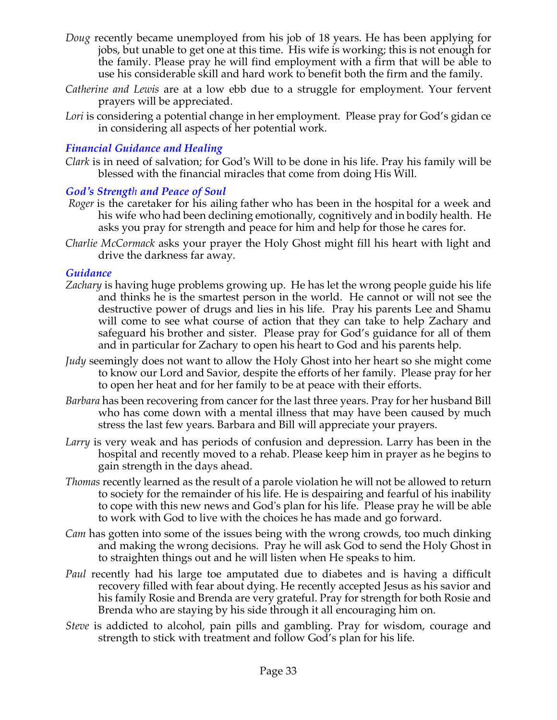- *Doug* recently became unemployed from his job of 18 years. He has been applying for jobs, but unable to get one at this time. His wife is working; this is not enough for the family. Please pray he will find employment with a firm that will be able to use his considerable skill and hard work to benefit both the firm and the family.
- *Catherine and Lewis* are at a low ebb due to a struggle for employment. Your fervent prayers will be appreciated.
- Lori is considering a potential change in her employment. Please pray for God's gidan ce in considering all aspects of her potential work.

### *Financial Guidance and Healing*

*Clark* is in need of salvation; for God's Will to be done in his life. Pray his family will be blessed with the financial miracles that come from doing His Will.

#### *God's Strength and Peace of Soul*

- *Roger* is the caretaker for his ailing father who has been in the hospital for a week and his wife who had been declining emotionally, cognitively and in bodily health. He asks you pray for strength and peace for him and help for those he cares for.
- *Charlie McCormack* asks your prayer the Holy Ghost might fill his heart with light and drive the darkness far away.

#### *Guidance*

- *Zachary* is having huge problems growing up. He has let the wrong people guide his life and thinks he is the smartest person in the world. He cannot or will not see the destructive power of drugs and lies in his life. Pray his parents Lee and Shamu will come to see what course of action that they can take to help Zachary and safeguard his brother and sister. Please pray for God's guidance for all of them and in particular for Zachary to open his heart to God and his parents help.
- *Judy* seemingly does not want to allow the Holy Ghost into her heart so she might come to know our Lord and Savior, despite the efforts of her family. Please pray for her to open her heat and for her family to be at peace with their efforts.
- *Barbara* has been recovering from cancer for the last three years. Pray for her husband Bill who has come down with a mental illness that may have been caused by much stress the last few years. Barbara and Bill will appreciate your prayers.
- *Larry* is very weak and has periods of confusion and depression. Larry has been in the hospital and recently moved to a rehab. Please keep him in prayer as he begins to gain strength in the days ahead.
- *Thomas* recently learned as the result of a parole violation he will not be allowed to return to society for the remainder of his life. He is despairing and fearful of his inability to cope with this new news and God's plan for his life. Please pray he will be able to work with God to live with the choices he has made and go forward.
- *Cam* has gotten into some of the issues being with the wrong crowds, too much dinking and making the wrong decisions. Pray he will ask God to send the Holy Ghost in to straighten things out and he will listen when He speaks to him.
- *Paul* recently had his large toe amputated due to diabetes and is having a difficult recovery filled with fear about dying. He recently accepted Jesus as his savior and his family Rosie and Brenda are very grateful. Pray for strength for both Rosie and Brenda who are staying by his side through it all encouraging him on.
- *Steve* is addicted to alcohol, pain pills and gambling. Pray for wisdom, courage and strength to stick with treatment and follow God's plan for his life.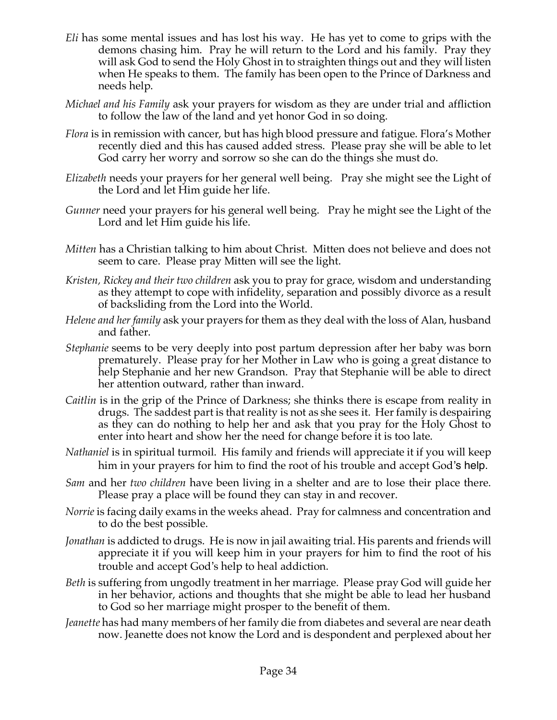- *Eli* has some mental issues and has lost his way. He has yet to come to grips with the demons chasing him. Pray he will return to the Lord and his family. Pray they will ask God to send the Holy Ghost in to straighten things out and they will listen when He speaks to them. The family has been open to the Prince of Darkness and needs help.
- *Michael and his Family* ask your prayers for wisdom as they are under trial and affliction to follow the law of the land and yet honor God in so doing.
- *Flora* is in remission with cancer, but has high blood pressure and fatigue. Flora's Mother recently died and this has caused added stress. Please pray she will be able to let God carry her worry and sorrow so she can do the things she must do.
- *Elizabeth* needs your prayers for her general well being. Pray she might see the Light of the Lord and let Him guide her life.
- *Gunner* need your prayers for his general well being. Pray he might see the Light of the Lord and let Him guide his life.
- *Mitten* has a Christian talking to him about Christ. Mitten does not believe and does not seem to care. Please pray Mitten will see the light.
- *Kristen, Rickey and their two children* ask you to pray for grace, wisdom and understanding as they attempt to cope with infidelity, separation and possibly divorce as a result of backsliding from the Lord into the World.
- *Helene and her family* ask your prayers for them as they deal with the loss of Alan, husband and father.
- *Stephanie* seems to be very deeply into post partum depression after her baby was born prematurely. Please pray for her Mother in Law who is going a great distance to help Stephanie and her new Grandson. Pray that Stephanie will be able to direct her attention outward, rather than inward.
- *Caitlin* is in the grip of the Prince of Darkness; she thinks there is escape from reality in drugs. The saddest part is that reality is not as she sees it. Her family is despairing as they can do nothing to help her and ask that you pray for the Holy Ghost to enter into heart and show her the need for change before it is too late.
- *Nathaniel* is in spiritual turmoil. His family and friends will appreciate it if you will keep him in your prayers for him to find the root of his trouble and accept God's help.
- *Sam* and her *two children* have been living in a shelter and are to lose their place there. Please pray a place will be found they can stay in and recover.
- *Norrie* is facing daily exams in the weeks ahead. Pray for calmness and concentration and to do the best possible.
- *Jonathan* is addicted to drugs. He is now in jail awaiting trial. His parents and friends will appreciate it if you will keep him in your prayers for him to find the root of his trouble and accept God's help to heal addiction.
- *Beth* is suffering from ungodly treatment in her marriage. Please pray God will guide her in her behavior, actions and thoughts that she might be able to lead her husband to God so her marriage might prosper to the benefit of them.
- *Jeanette* has had many members of her family die from diabetes and several are near death now. Jeanette does not know the Lord and is despondent and perplexed about her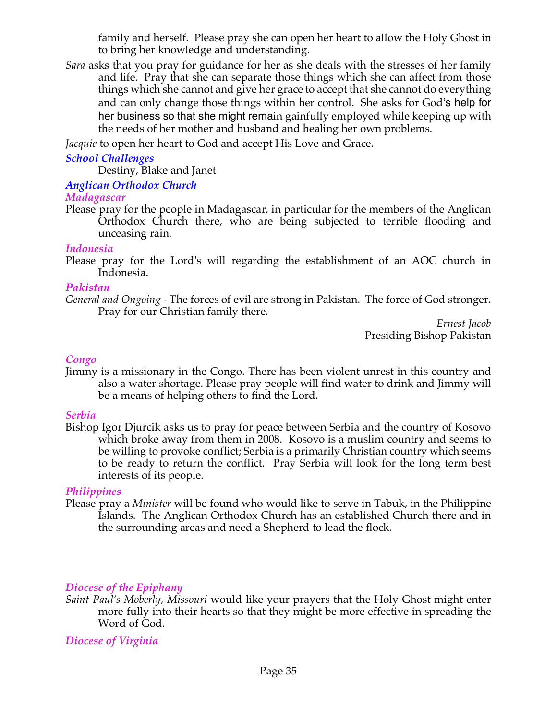family and herself. Please pray she can open her heart to allow the Holy Ghost in to bring her knowledge and understanding.

*Sara* asks that you pray for guidance for her as she deals with the stresses of her family and life. Pray that she can separate those things which she can affect from those things which she cannot and give her grace to accept that she cannot do everything and can only change those things within her control. She asks for God's help for her business so that she might remain gainfully employed while keeping up with the needs of her mother and husband and healing her own problems.

*Jacquie* to open her heart to God and accept His Love and Grace.

### *School Challenges*

Destiny, Blake and Janet

#### *Anglican Orthodox Church*

#### *Madagascar*

Please pray for the people in Madagascar, in particular for the members of the Anglican Orthodox Church there, who are being subjected to terrible flooding and unceasing rain.

#### *Indonesia*

Please pray for the Lord's will regarding the establishment of an AOC church in Indonesia.

#### *Pakistan*

*General and Ongoing -* The forces of evil are strong in Pakistan. The force of God stronger. Pray for our Christian family there.

*Ernest Jacob* Presiding Bishop Pakistan

### *Congo*

Jimmy is a missionary in the Congo. There has been violent unrest in this country and also a water shortage. Please pray people will find water to drink and Jimmy will be a means of helping others to find the Lord.

#### *Serbia*

Bishop Igor Djurcik asks us to pray for peace between Serbia and the country of Kosovo which broke away from them in 2008. Kosovo is a muslim country and seems to be willing to provoke conflict; Serbia is a primarily Christian country which seems to be ready to return the conflict. Pray Serbia will look for the long term best interests of its people.

### *Philippines*

Please pray a *Minister* will be found who would like to serve in Tabuk, in the Philippine Islands. The Anglican Orthodox Church has an established Church there and in the surrounding areas and need a Shepherd to lead the flock*.*

### *Diocese of the Epiphany*

*Saint Paul's Moberly, Missouri* would like your prayers that the Holy Ghost might enter more fully into their hearts so that they might be more effective in spreading the Word of God.

*Diocese of Virginia*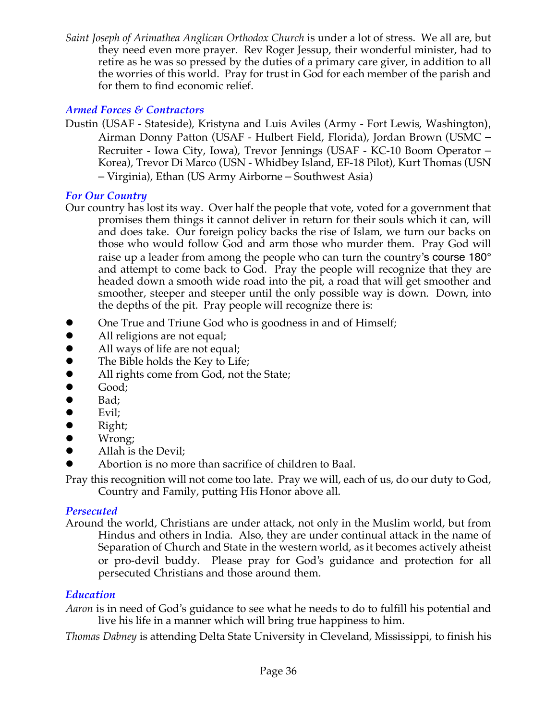*Saint Joseph of Arimathea Anglican Orthodox Church* is under a lot of stress. We all are, but they need even more prayer. Rev Roger Jessup, their wonderful minister, had to retire as he was so pressed by the duties of a primary care giver, in addition to all the worries of this world. Pray for trust in God for each member of the parish and for them to find economic relief.

# *Armed Forces & Contractors*

Dustin (USAF - Stateside), Kristyna and Luis Aviles (Army - Fort Lewis, Washington), Airman Donny Patton (USAF - Hulbert Field, Florida), Jordan Brown (USMC – Recruiter - Iowa City, Iowa), Trevor Jennings (USAF - KC-10 Boom Operator – Korea), Trevor Di Marco (USN - Whidbey Island, EF-18 Pilot), Kurt Thomas (USN – Virginia), Ethan (US Army Airborne – Southwest Asia)

# *For Our Country*

- Our country has lost its way. Over half the people that vote, voted for a government that promises them things it cannot deliver in return for their souls which it can, will and does take. Our foreign policy backs the rise of Islam, we turn our backs on those who would follow God and arm those who murder them. Pray God will raise up a leader from among the people who can turn the country's course 180<sup>°</sup> and attempt to come back to God. Pray the people will recognize that they are headed down a smooth wide road into the pit, a road that will get smoother and smoother, steeper and steeper until the only possible way is down. Down, into the depths of the pit. Pray people will recognize there is:
- One True and Triune God who is goodness in and of Himself;<br>• All religions are not equal;
- All religions are not equal;
- 
- The Bible holds the Key to Life;
- All ways of life are not equal;<br>• The Bible holds the Key to Life<br>• All rights come from God, not • All rights come from God, not the State;<br>• Good;
- 
- Good;<br>• Bad;<br>• Evil; Bad;
- Evil;
- $\bullet$  Right;
- $\bullet$  Wrong;
- l Allah is the Devil;
- l Abortion is no more than sacrifice of children to Baal.

Pray this recognition will not come too late. Pray we will, each of us, do our duty to God, Country and Family, putting His Honor above all.

### *Persecuted*

Around the world, Christians are under attack, not only in the Muslim world, but from Hindus and others in India. Also, they are under continual attack in the name of Separation of Church and State in the western world, as it becomes actively atheist or pro-devil buddy. Please pray for God's guidance and protection for all persecuted Christians and those around them.

# *Education*

*Aaron* is in need of God's guidance to see what he needs to do to fulfill his potential and live his life in a manner which will bring true happiness to him.

*Thomas Dabney* is attending Delta State University in Cleveland, Mississippi, to finish his